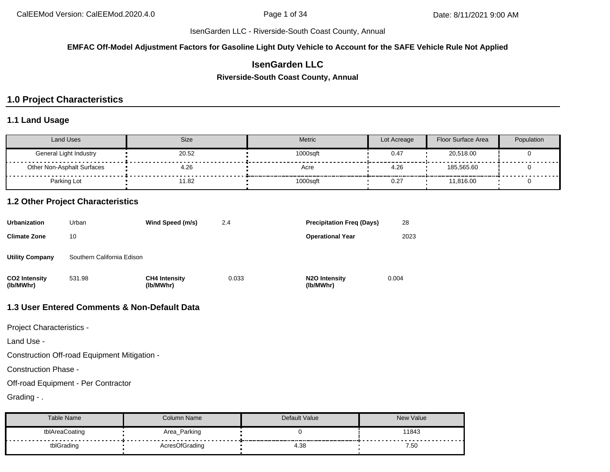#### **EMFAC Off-Model Adjustment Factors for Gasoline Light Duty Vehicle to Account for the SAFE Vehicle Rule Not Applied**

# **IsenGarden LLC**

**Riverside-South Coast County, Annual**

# **1.0 Project Characteristics**

#### **1.1 Land Usage**

| Land Uses                  | <b>Size</b> | <b>Metric</b> | Lot Acreage | <b>Floor Surface Area</b> | Population |
|----------------------------|-------------|---------------|-------------|---------------------------|------------|
| General Light Industry     | 20.52       | 1000saft      | 0.47        | 20,518.00                 |            |
| Other Non-Asphalt Surfaces | 4.26        | Acre          | 4.26        | 185.565.60                |            |
| Parking Lot                | 11.82       | 1000sqft      | 0.27        | 11,816.00                 |            |

#### **1.2 Other Project Characteristics**

| Urbanization               | Urban                      | Wind Speed (m/s)                  | 2.4   | <b>Precipitation Freg (Days)</b>        | 28    |
|----------------------------|----------------------------|-----------------------------------|-------|-----------------------------------------|-------|
| Climate Zone               | 10                         |                                   |       | <b>Operational Year</b>                 | 2023  |
| Utility Company            | Southern California Edison |                                   |       |                                         |       |
| CO2 Intensity<br>(lb/MWhr) | 531.98                     | <b>CH4 Intensity</b><br>(lb/MWhr) | 0.033 | N <sub>2</sub> O Intensity<br>(lb/MWhr) | 0.004 |

# **1.3 User Entered Comments & Non-Default Data**

Project Characteristics -

Land Use -

Construction Off-road Equipment Mitigation -

Construction Phase -

Off-road Equipment - Per Contractor

Grading - .

| Table Name     | Column Name    | Default Value | <b>New Value</b> |
|----------------|----------------|---------------|------------------|
| tblAreaCoating | Area_Parking   |               | 11843            |
| tblGrading     | AcresOfGrading | 4.38          | 7.50             |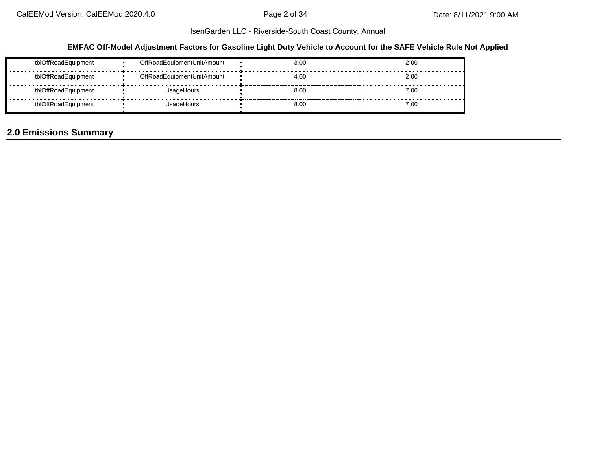## **EMFAC Off-Model Adjustment Factors for Gasoline Light Duty Vehicle to Account for the SAFE Vehicle Rule Not Applied**

| tblOffRoadEquipment | OffRoadEquipmentUnitAmount | 3.00 | 2.00 |
|---------------------|----------------------------|------|------|
| tblOffRoadEquipment | OffRoadEquipmentUnitAmount | 4.00 | 2.00 |
| tblOffRoadEquipment | UsageHours                 | 8.00 | 7.00 |
| tblOffRoadEquipment | UsageHours                 | 8.00 | 7.00 |

# **2.0 Emissions Summary**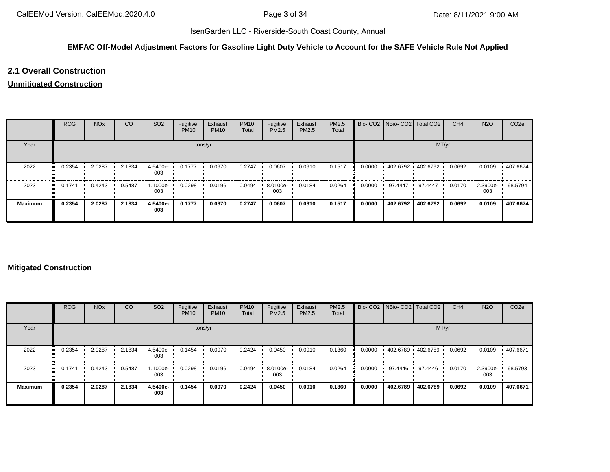## **EMFAC Off-Model Adjustment Factors for Gasoline Light Duty Vehicle to Account for the SAFE Vehicle Rule Not Applied**

# **2.1 Overall Construction**

#### **Unmitigated Construction**

|                | <b>ROG</b>   | <b>NO<sub>x</sub></b> | CO     | SO <sub>2</sub> | Fugitive<br><b>PM10</b> | Exhaust<br><b>PM10</b> | <b>PM10</b><br>Total | Fugitive<br>PM2.5 | Exhaust<br><b>PM2.5</b> | <b>PM2.5</b><br>Total |        | Bio- CO2   NBio- CO2   Total CO2 |                   | CH <sub>4</sub> | <b>N2O</b>      | CO <sub>2</sub> e |
|----------------|--------------|-----------------------|--------|-----------------|-------------------------|------------------------|----------------------|-------------------|-------------------------|-----------------------|--------|----------------------------------|-------------------|-----------------|-----------------|-------------------|
| Year           |              |                       |        |                 |                         | tons/yr                |                      |                   |                         |                       |        |                                  | MT/yr             |                 |                 |                   |
| 2022           | 0.2354<br>   | 2.0287                | 2.1834 | 4.5400e-<br>003 | 0.1777                  | 0.0970                 | 0.2747               | 0.0607            | 0.0910                  | 0.1517                | 0.0000 |                                  | 402.6792 402.6792 | 0.0692          | 0.0109          | ■ 407.6674        |
| 2023           | 0.1741<br>ш. | 0.4243                | 0.5487 | 1.1000e-<br>003 | 0.0298                  | 0.0196                 | 0.0494               | 8.0100e-<br>003   | 0.0184                  | 0.0264                | 0.0000 | 97.4447                          | 97.4447           | 0.0170          | 2.3900e-<br>003 | 98.5794           |
| <b>Maximum</b> | 0.2354       | 2.0287                | 2.1834 | 4.5400e-<br>003 | 0.1777                  | 0.0970                 | 0.2747               | 0.0607            | 0.0910                  | 0.1517                | 0.0000 | 402.6792                         | 402.6792          | 0.0692          | 0.0109          | 407.6674          |

#### **Mitigated Construction**

|                      | <b>ROG</b>          | <b>NO<sub>x</sub></b> | CO     | SO <sub>2</sub> | Fugitive<br><b>PM10</b> | Exhaust<br><b>PM10</b> | <b>PM10</b><br>Total | Fugitive<br><b>PM2.5</b> | Exhaust<br>PM2.5 | PM2.5<br>Total |        | Bio- CO2 NBio- CO2 Total CO2 |                   | CH <sub>4</sub> | <b>N2O</b>      | CO <sub>2e</sub> |
|----------------------|---------------------|-----------------------|--------|-----------------|-------------------------|------------------------|----------------------|--------------------------|------------------|----------------|--------|------------------------------|-------------------|-----------------|-----------------|------------------|
| Year                 |                     |                       |        |                 |                         | tons/yr                |                      |                          |                  |                |        |                              | MT/yr             |                 |                 |                  |
| 2022<br>$\mathbf{u}$ | 0.2354              | 2.0287                | 2.1834 | 4.5400e-<br>003 | 0.1454                  | 0.0970                 | 0.2424               | 0.0450                   | 0.0910           | 0.1360         | 0.0000 |                              | 402.6789 402.6789 | 0.0692          | 0.0109          | .407.6671        |
| 2023                 | 0.1741<br>$\bullet$ | 0.4243                | 0.5487 | 1000e-<br>003   | 0.0298                  | 0.0196                 | 0.0494               | 8.0100e-<br>003          | 0.0184           | 0.0264         | 0.0000 | 97.4446                      | 97.4446           | 0.0170          | 2.3900e-<br>003 | 98.5793          |
| <b>Maximum</b>       | 0.2354              | 2.0287                | 2.1834 | 4.5400e-<br>003 | 0.1454                  | 0.0970                 | 0.2424               | 0.0450                   | 0.0910           | 0.1360         | 0.0000 | 402.6789                     | 402.6789          | 0.0692          | 0.0109          | 407.6671         |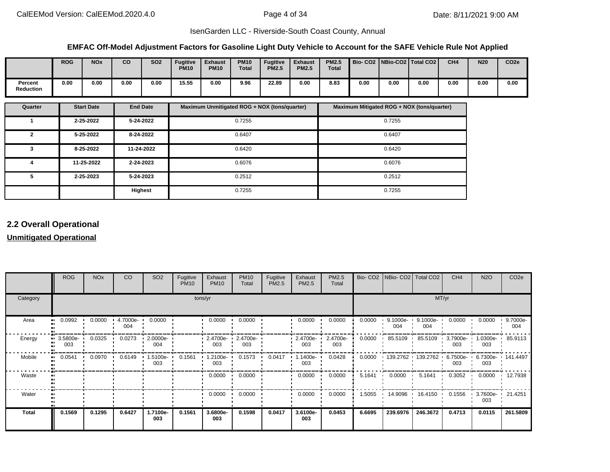#### **EMFAC Off-Model Adjustment Factors for Gasoline Light Duty Vehicle to Account for the SAFE Vehicle Rule Not Applied**

|                             | <b>ROG</b> | <b>NOx</b> | co   | <b>SO2</b> | <b>Fugitive</b><br><b>PM10</b> | <b>Exhaust</b><br><b>PM10</b> | <b>PM10</b><br><b>Total</b> | <b>Fugitive</b><br><b>PM2.5</b> | <b>Exhaust</b><br><b>PM2.5</b> | <b>PM2.5</b><br><b>Total</b> |      |      | Bio- CO2   NBio-CO2   Total CO2 | CH <sub>4</sub> | <b>N20</b> | CO <sub>2e</sub> |
|-----------------------------|------------|------------|------|------------|--------------------------------|-------------------------------|-----------------------------|---------------------------------|--------------------------------|------------------------------|------|------|---------------------------------|-----------------|------------|------------------|
| Percent<br><b>Reduction</b> | 0.00       | 0.00       | 0.00 | 0.00       | 15.55                          | 0.00                          | 9.96                        | 22.89                           | 0.00                           | 8.83                         | 0.00 | 0.00 | 0.00                            | 0.00            | 0.00       | 0.00             |

| Quarter | <b>Start Date</b> | <b>End Date</b> | Maximum Unmitigated ROG + NOX (tons/quarter) | Maximum Mitigated ROG + NOX (tons/quarter) |
|---------|-------------------|-----------------|----------------------------------------------|--------------------------------------------|
|         | 2-25-2022         | 5-24-2022       | 0.7255                                       | 0.7255                                     |
| 2       | 5-25-2022         | 8-24-2022       | 0.6407                                       | 0.6407                                     |
| 3       | 8-25-2022         | 11-24-2022      | 0.6420                                       | 0.6420                                     |
| 4       | 11-25-2022        | 2-24-2023       | 0.6076                                       | 0.6076                                     |
| 5       | 2-25-2023         | 5-24-2023       | 0.2512                                       | 0.2512                                     |
|         |                   | <b>Highest</b>  | 0.7255                                       | 0.7255                                     |

# **2.2 Overall Operational**

## **Unmitigated Operational**

|              | <b>ROG</b>      | <b>NO<sub>x</sub></b> | CO                   | SO <sub>2</sub>      | Fugitive<br><b>PM10</b> | Exhaust<br><b>PM10</b>          | <b>PM10</b><br>Total | Fugitive<br>PM2.5 | Exhaust<br>PM2.5                | PM2.5<br>Total  |        | Bio- CO2   NBio- CO2   Total CO2 |                    | CH <sub>4</sub>          | <b>N2O</b>               | CO <sub>2e</sub> |
|--------------|-----------------|-----------------------|----------------------|----------------------|-------------------------|---------------------------------|----------------------|-------------------|---------------------------------|-----------------|--------|----------------------------------|--------------------|--------------------------|--------------------------|------------------|
| Category     |                 |                       |                      |                      |                         | tons/yr                         |                      |                   |                                 |                 |        |                                  | MT/yr              |                          |                          |                  |
| Area<br>m    | 0.0992          | 0.0000                | $4.7000e - 1$<br>004 | 0.0000               |                         | 0.0000                          | 0.0000               |                   | 0.0000                          | 0.0000          | 0.0000 | $9.1000e -$<br>004               | $9.1000e -$<br>004 | 0.0000                   | 0.0000                   | 9.7000e-<br>004  |
| Energy       | 3.5800e-<br>003 | 0.0325                | 0.0273               | $2.0000e - 1$<br>004 |                         | $-2.4700e - 2.4700e - 1$<br>003 | 003                  |                   | $\cdot$ 2.4700e- $\cdot$<br>003 | 2.4700e-<br>003 | 0.0000 | 85.5109<br>. .                   | 85.5109            | 3.7900e- 1.0300e-<br>003 | 003                      | 85.9113          |
| Mobile<br>m  | 0.0541          | 0.0970                | 0.6149               | 1.5100e-<br>003      | 0.1561                  | $1.2100e -$<br>003              | 0.1573               | 0.0417            | .1400e-<br>003                  | 0.0428          | 0.0000 | $139.2762$ 139.2762              |                    | 6.7500e- •<br>003        | 6.7300e- 141.4497<br>003 |                  |
| Waste        |                 |                       |                      |                      |                         | 0.0000                          | 0.0000               |                   | 0.0000                          | 0.0000          | 5.1641 | $0.0000$ $\blacksquare$          | 5.1641             | 0.3052                   | 0.0000                   | 12.7938          |
| Water        |                 |                       |                      |                      |                         | 0.0000                          | 0.0000               |                   | 0.0000                          | 0.0000          | 1.5055 | 14.9096 ·                        | 16.4150<br>. .     | 0.1556                   | 3.7600e-<br>003          | 21.4251          |
| <b>Total</b> | 0.1569          | 0.1295                | 0.6427               | 1.7100e-<br>003      | 0.1561                  | 3.6800e-<br>003                 | 0.1598               | 0.0417            | 3.6100e-<br>003                 | 0.0453          | 6.6695 | 239.6976                         | 246.3672           | 0.4713                   | 0.0115                   | 261.5809         |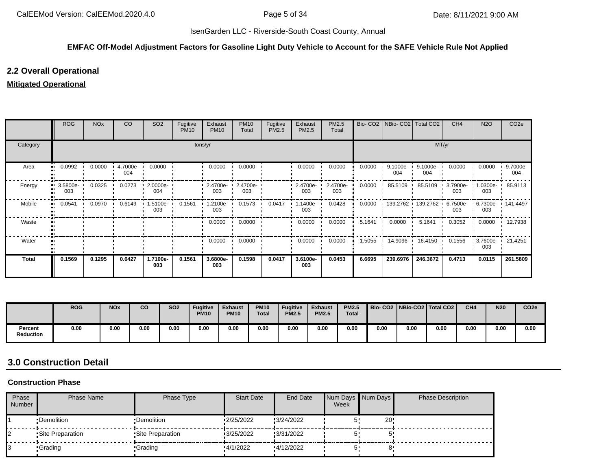#### **EMFAC Off-Model Adjustment Factors for Gasoline Light Duty Vehicle to Account for the SAFE Vehicle Rule Not Applied**

# **2.2 Overall Operational**

#### **Mitigated Operational**

|          | <b>ROG</b>      | <b>NO<sub>x</sub></b> | CO              | SO <sub>2</sub> | Fugitive<br><b>PM10</b> | Exhaust<br><b>PM10</b> | <b>PM10</b><br>Total | Fugitive<br>PM2.5 | Exhaust<br>PM2.5  | PM2.5<br>Total  |        | Bio- CO2   NBio- CO2   Total CO2 |                   | CH <sub>4</sub>    | <b>N2O</b>               | CO <sub>2e</sub> |
|----------|-----------------|-----------------------|-----------------|-----------------|-------------------------|------------------------|----------------------|-------------------|-------------------|-----------------|--------|----------------------------------|-------------------|--------------------|--------------------------|------------------|
| Category |                 |                       |                 |                 | tons/yr                 |                        |                      |                   |                   |                 |        |                                  | MT/yr             |                    |                          |                  |
| Area     | 0.0992          | 0.0000                | 4.7000e-<br>004 | 0.0000          |                         | 0.0000                 | 0.0000               |                   | 0.0000            | 0.0000          | 0.0000 | 9.1000e-<br>004                  | 9.1000e-<br>004   | 0.0000             | 0.0000                   | 9.7000e-<br>004  |
| Energy   | 3.5800e-<br>003 | 0.0325                | 0.0273          | 2.0000e-<br>004 |                         | 2.4700e-<br>003        | 2.4700e-<br>003      |                   | 2.4700e-<br>003   | 2.4700e-<br>003 | 0.0000 | 85.5109                          | 85.5109           | 3.7900e-<br>003    | 1.0300e-<br>003          | 85.9113          |
| Mobile   | 0.0541          | 0.0970                | 0.6149          | 1.5100e-<br>003 | 0.1561                  | 1.2100e-<br>003        | 0.1573               | 0.0417            | $.1400e -$<br>003 | 0.0428          | 0.0000 |                                  | 139.2762 139.2762 | $6.7500e -$<br>003 | 6.7300e- 141.4497<br>003 |                  |
| Waste    |                 |                       |                 |                 |                         | 0.0000                 | 0.0000               |                   | 0.0000            | 0.0000          | 5.1641 | 0.0000                           | 5.1641            | 0.3052             | 0.0000                   | 12.7938          |
| Water    |                 |                       |                 |                 |                         | 0.0000                 | 0.0000               |                   | 0.0000            | 0.0000          | 1.5055 | 14.9096                          | 16.4150 ·         | 0.1556             | 3.7600e-<br>003          | 21.4251          |
| Total    | 0.1569          | 0.1295                | 0.6427          | 1.7100e-<br>003 | 0.1561                  | 3.6800e-<br>003        | 0.1598               | 0.0417            | 3.6100e-<br>003   | 0.0453          | 6.6695 | 239.6976                         | 246.3672          | 0.4713             | 0.0115                   | 261.5809         |

|                      | <b>ROG</b> | <b>NO<sub>x</sub></b> | CO   | <b>SO2</b> | <b>Fugitive</b><br><b>PM10</b> | <b>Exhaust</b><br><b>PM10</b> | <b>PM10</b><br><b>Total</b> | <b>Fugitive</b><br><b>PM2.5</b> | <b>Exhaust</b><br><b>PM2.5</b> | <b>PM2.5</b><br><b>Total</b> |      |      | Bio-CO2   NBio-CO2   Total CO2 | CH <sub>4</sub> | <b>N20</b> | CO <sub>2e</sub> |
|----------------------|------------|-----------------------|------|------------|--------------------------------|-------------------------------|-----------------------------|---------------------------------|--------------------------------|------------------------------|------|------|--------------------------------|-----------------|------------|------------------|
| Percent<br>Reduction | 0.00       | 0.00                  | 0.00 | 0.00       | 0.00                           | 0.00                          | 0.00                        | 0.00                            | 0.00                           | 0.00                         | 0.00 | 0.00 | 0.00                           | 0.00            | 0.00       | 0.00             |

# **3.0 Construction Detail**

#### **Construction Phase**

| Phase<br>Number | <b>Phase Name</b> | Phase Type        | <b>Start Date</b> | End Date   | Week | Num Days Num Days | <b>Phase Description</b> |
|-----------------|-------------------|-------------------|-------------------|------------|------|-------------------|--------------------------|
|                 | •Demolition       | •Demolition       | 2/25/2022         | 3/24/2022  |      | 20!               |                          |
|                 | •Site Preparation | •Site Preparation | 3/25/2022         | !3/31/2022 |      |                   |                          |
|                 | •Grading          | •Grading          | 4/1/2022          | 4/12/2022  |      |                   |                          |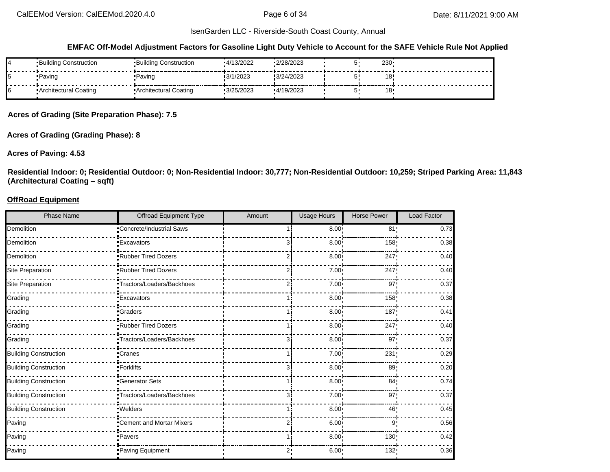#### **EMFAC Off-Model Adjustment Factors for Gasoline Light Duty Vehicle to Account for the SAFE Vehicle Rule Not Applied**

| ▪Building Construction  | ▪Building Construction | $-4/13/2022$ | 2/28/2023  | 230 <sub>1</sub> |  |
|-------------------------|------------------------|--------------|------------|------------------|--|
| •Paving                 | • Paving               | 3/1/2023     | !3/24/2023 | 18               |  |
| • Architectural Coating | Architectural Coating  | 3/25/2023    | 4/19/2023  | 18               |  |

**Acres of Grading (Site Preparation Phase): 7.5**

**Acres of Grading (Grading Phase): 8**

#### **Acres of Paving: 4.53**

**Residential Indoor: 0; Residential Outdoor: 0; Non-Residential Indoor: 30,777; Non-Residential Outdoor: 10,259; Striped Parking Area: 11,843 (Architectural Coating – sqft)**

#### **OffRoad Equipment**

| <b>Phase Name</b>            | Offroad Equipment Type     | Amount | Usage Hours       | <b>Horse Power</b> | <b>Load Factor</b> |
|------------------------------|----------------------------|--------|-------------------|--------------------|--------------------|
| Demolition                   | Concrete/Industrial Saws   |        | $8.00 \cdot$      | 81 <sub>1</sub>    | 0.73               |
| Demolition                   | <b>Excavators</b>          |        | 8.00              | 158                | 0.38               |
| Demolition                   | Rubber Tired Dozers        |        | $8.00 \cdot$      | 247                | 0.40               |
| Site Preparation             | Rubber Tired Dozers        |        | 7.00 <sub>1</sub> | 247                | 0.40               |
| Site Preparation             | -Tractors/Loaders/Backhoes |        | 7.00              | 97 <sub>1</sub>    | 0.37               |
| Grading                      | <b>Excavators</b>          |        | 8.00              | 158                | 0.38               |
| Grading                      | -Graders                   |        | 8.00              | 187                | 0.41               |
| Grading                      | Rubber Tired Dozers        |        | 8.00              | 247                | 0.40               |
| Grading                      | -Tractors/Loaders/Backhoes |        | 8.00              | 97 <sub>1</sub>    | 0.37               |
| <b>Building Construction</b> | -Cranes                    |        | 7.00:             | 231                | 0.29               |
| <b>Building Construction</b> | - Forklifts                |        | 8.00              | 89                 | 0.20               |
| <b>Building Construction</b> | -Generator Sets            |        | 8.00              | 84 <sub>1</sub>    | 0.74               |
| <b>Building Construction</b> | •Tractors/Loaders/Backhoes |        | $7.00 \div$       | 97'                | 0.37               |
| <b>Building Construction</b> | · Welders                  |        | $8.00 \cdot$      | 46                 | 0.45               |
| Paving                       | Cement and Mortar Mixers   |        | 6.00              | 9!                 | 0.56               |
| Paving                       | -Pavers                    |        | 8.00              | 130                | 0.42               |
| Paving                       | Paving Equipment           |        | 6.00:             | 132                | 0.36               |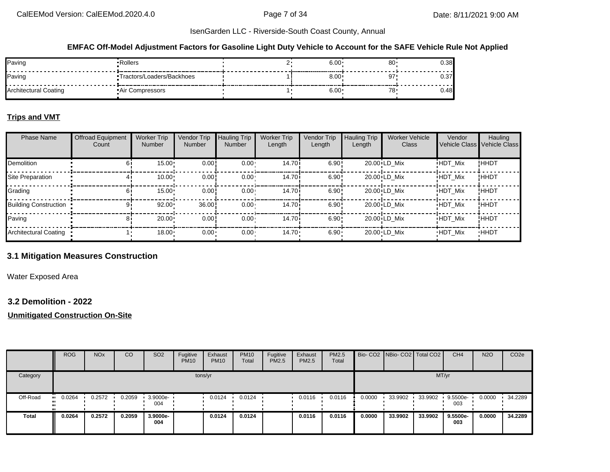#### **EMFAC Off-Model Adjustment Factors for Gasoline Light Duty Vehicle to Account for the SAFE Vehicle Rule Not Applied**

| Paving                | •Rollers                   | $6.00 \cdot$ | u  | 0.38 |
|-----------------------|----------------------------|--------------|----|------|
| Paving                | *Tractors/Loaders/Backhoes | $8.00 \cdot$ | а7 | ∪.∪  |
| Architectural Coating | Compressors<br>Air (       | $6.00 \cdot$ |    | 0.48 |

#### **Trips and VMT**

| <b>Phase Name</b>            | <b>Offroad Equipment</b><br>Count | <b>Worker Trip</b><br>Number | Vendor Trip<br>Number | <b>Hauling Trip</b><br><b>Number</b> | <b>Worker Trip</b><br>Length | Vendor Trip<br>Length | <b>Hauling Trip</b><br>Length | <b>Worker Vehicle</b><br>Class | Vendor         | Hauling<br>Vehicle Class Vehicle Class |
|------------------------------|-----------------------------------|------------------------------|-----------------------|--------------------------------------|------------------------------|-----------------------|-------------------------------|--------------------------------|----------------|----------------------------------------|
| Demolition                   | 61                                | 15.00                        | 0.00!                 | $0.00 \cdot$                         | 14.70i                       | 6.90:                 |                               | $20.00 \cdot LD$ Mix           | <b>HDT Mix</b> | !HHDT                                  |
| Site Preparation             |                                   | 10.00                        | 0.00!                 | $0.00 \cdot$                         | 14.70i                       | 6.90                  |                               | $20.00 \cdot LD$ Mix           | <b>HDT Mix</b> | !HHDT                                  |
| Grading                      | 61                                | 15.00                        | 0.00!                 | $0.00 \cdot$                         | 14.70 <sup>i</sup>           | 6.90:                 |                               | $20.00 \cdot LD$ Mix           | <b>HDT Mix</b> | !HHDT                                  |
| <b>Building Construction</b> | 91                                | 92.00                        | 36.00                 | $0.00 \cdot$                         | 14.70 <sup>i</sup>           | 6.90:                 |                               | $20.00 \cdot LD$ Mix           | <b>HDT Mix</b> | !HHDT                                  |
| Paving                       | 81                                | 20.00                        | 0.00!                 | $0.00 -$                             | 14.70i                       | 6.90:                 |                               | 20.00 LD Mix                   | <b>HDT Mix</b> | !ННDТ                                  |
| Architectural Coating        |                                   | $18.00 \cdot$                | $0.00 \cdot$          | $0.00 \cdot$                         | $14.70 \cdot$                | $6.90 -$              |                               | 20.00 LD Mix                   | <b>HDT Mix</b> | <b>HHDT</b>                            |

# **3.1 Mitigation Measures Construction**

Water Exposed Area

#### **3.2 Demolition - 2022**

|          | <b>ROG</b>            | <b>NO<sub>x</sub></b> | CO     | SO <sub>2</sub> | Fugitive<br><b>PM10</b> | Exhaust<br><b>PM10</b> | <b>PM10</b><br>Total | Fugitive<br><b>PM2.5</b> | Exhaust<br>PM2.5 | <b>PM2.5</b><br>Total |        | Bio- CO2   NBio- CO2   Total CO2 |         | CH <sub>4</sub> | <b>N2O</b> | CO <sub>2e</sub> |
|----------|-----------------------|-----------------------|--------|-----------------|-------------------------|------------------------|----------------------|--------------------------|------------------|-----------------------|--------|----------------------------------|---------|-----------------|------------|------------------|
| Category |                       |                       |        |                 | tons/yr                 |                        |                      |                          |                  |                       |        |                                  | MT/yr   |                 |            |                  |
| Off-Road | $\blacksquare$ 0.0264 | 0.2572                | 0.2059 | 3.9000e-<br>004 |                         | 0.0124                 | 0.0124               |                          | 0.0116           | 0.0116                | 0.0000 | 33.9902                          | 33.9902 | 9.5500e-<br>003 | 0.0000     | 34.2289          |
| Total    | 0.0264                | 0.2572                | 0.2059 | 3.9000e-<br>004 |                         | 0.0124                 | 0.0124               |                          | 0.0116           | 0.0116                | 0.0000 | 33.9902                          | 33.9902 | 9.5500e-<br>003 | 0.0000     | 34.2289          |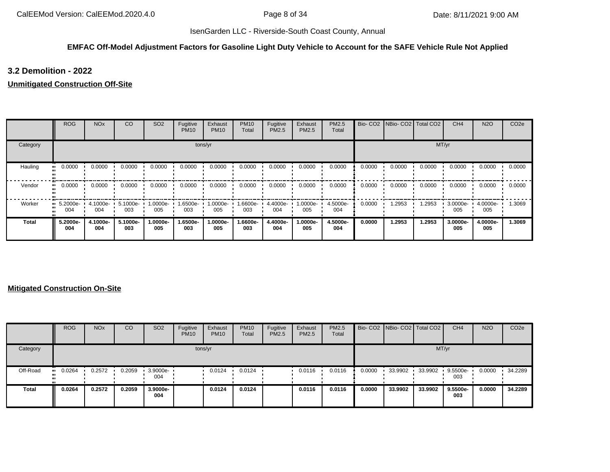#### **EMFAC Off-Model Adjustment Factors for Gasoline Light Duty Vehicle to Account for the SAFE Vehicle Rule Not Applied**

# **3.2 Demolition - 2022**

#### **Unmitigated Construction Off-Site**

|          | <b>ROG</b>                     | <b>NO<sub>x</sub></b> | CO              | SO <sub>2</sub> | Fugitive<br><b>PM10</b> | Exhaust<br><b>PM10</b> | <b>PM10</b><br>Total | Fugitive<br>PM2.5 | Exhaust<br>PM2.5 | PM2.5<br>Total  | Bio-CO <sub>2</sub> | NBio-CO2   Total CO2 |        | CH <sub>4</sub> | <b>N2O</b>      | CO <sub>2e</sub> |
|----------|--------------------------------|-----------------------|-----------------|-----------------|-------------------------|------------------------|----------------------|-------------------|------------------|-----------------|---------------------|----------------------|--------|-----------------|-----------------|------------------|
| Category |                                |                       |                 |                 |                         | tons/yr                |                      |                   |                  |                 |                     |                      | MT/yr  |                 |                 |                  |
| Hauling  | 0.0000                         | 0.0000                | 0.0000          | 0.0000          | 0.0000                  | 0.0000                 | 0.0000               | 0.0000            | 0.0000           | 0.0000          | 0.0000              | 0.0000               | 0.0000 | 0.0000          | 0.0000          | 0.0000           |
| Vendor   | 0.0000                         | 0.0000                | 0.0000          | 0.0000          | 0.0000                  | 0.0000                 | 0.0000               | 0.0000            | 0.0000           | 0.0000          | 0.0000              | 0.0000               | 0.0000 | 0.0000          | 0.0000          | 0.0000           |
| Worker   | $\blacksquare$ 5.2000e-<br>004 | 4.1000e-<br>004       | 5.1000e-<br>003 | -0000e-<br>005  | 1.6500e-<br>003         | 1.0000e-<br>005        | .6600e-<br>003       | 4.4000e-<br>004   | 1.0000e-<br>005  | 4.5000e-<br>004 | 0.0000              | 1.2953               | 1.2953 | 3.0000e-<br>005 | 4.0000e-<br>005 | 1.3069           |
| Total    | 5.2000e-<br>004                | 4.1000e-<br>004       | 5.1000e-<br>003 | 1.0000e-<br>005 | 1.6500e-<br>003         | 1.0000e-<br>005        | 1.6600e-<br>003      | 4.4000e-<br>004   | 1.0000e-<br>005  | 4.5000e-<br>004 | 0.0000              | 1.2953               | 1.2953 | 3.0000e-<br>005 | 4.0000e-<br>005 | 1.3069           |

|              | <b>ROG</b> | <b>NO<sub>x</sub></b> | CO     | SO <sub>2</sub> | Fugitive<br><b>PM10</b> | Exhaust<br><b>PM10</b> | <b>PM10</b><br>Total | Fugitive<br>PM2.5 | Exhaust<br><b>PM2.5</b> | PM2.5<br>Total |        | Bio- CO2   NBio- CO2   Total CO2 |         | CH <sub>4</sub> | <b>N2O</b> | CO <sub>2e</sub> |
|--------------|------------|-----------------------|--------|-----------------|-------------------------|------------------------|----------------------|-------------------|-------------------------|----------------|--------|----------------------------------|---------|-----------------|------------|------------------|
| Category     |            |                       |        |                 |                         | tons/yr                |                      |                   |                         |                |        |                                  |         | MT/yr           |            |                  |
| Off-Road     | 0.0264     | 0.2572                | 0.2059 | 3.9000e-<br>004 |                         | 0.0124                 | 0.0124               |                   | 0.0116                  | 0.0116         | 0.0000 | 33.9902                          | 33.9902 | 9.5500e-<br>003 | 0.0000     | 34.2289          |
| <b>Total</b> | 0.0264     | 0.2572                | 0.2059 | 3.9000e-<br>004 |                         | 0.0124                 | 0.0124               |                   | 0.0116                  | 0.0116         | 0.0000 | 33.9902                          | 33.9902 | 9.5500e-<br>003 | 0.0000     | 34.2289          |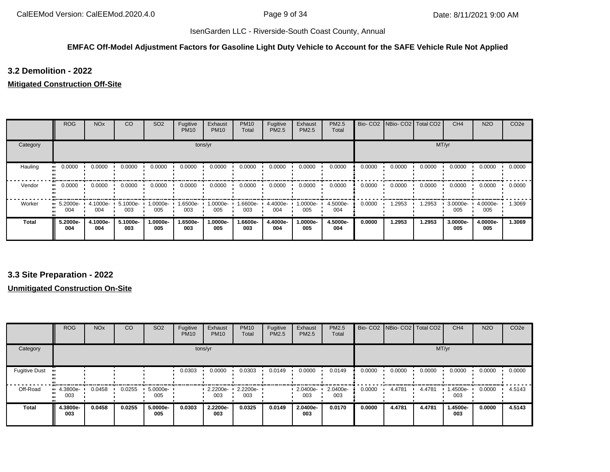#### **EMFAC Off-Model Adjustment Factors for Gasoline Light Duty Vehicle to Account for the SAFE Vehicle Rule Not Applied**

# **3.2 Demolition - 2022**

#### **Mitigated Construction Off-Site**

|          | <b>ROG</b>                     | <b>NO<sub>x</sub></b> | <sub>CO</sub>   | SO <sub>2</sub> | Fugitive<br><b>PM10</b> | Exhaust<br><b>PM10</b> | <b>PM10</b><br>Total | Fugitive<br>PM2.5 | Exhaust<br>PM2.5 | PM2.5<br>Total  |        | Bio- CO2   NBio- CO2   Total CO2 |        | CH <sub>4</sub> | <b>N2O</b>      | CO <sub>2e</sub> |
|----------|--------------------------------|-----------------------|-----------------|-----------------|-------------------------|------------------------|----------------------|-------------------|------------------|-----------------|--------|----------------------------------|--------|-----------------|-----------------|------------------|
| Category |                                |                       |                 |                 |                         | tons/yr                |                      |                   |                  |                 |        |                                  |        | MT/yr           |                 |                  |
| Hauling  | 0.0000                         | 0.0000                | 0.0000          | 0.0000          | 0.0000                  | 0.0000                 | 0.0000               | 0.0000            | 0.0000           | 0.0000          | 0.0000 | 0.0000                           | 0.0000 | 0.0000          | 0.0000          | 0.0000           |
| Vendor   | 0.0000<br>                     | 0.0000                | 0.0000          | 0.0000          | 0.0000                  | 0.0000                 | 0.0000               | 0.0000            | 0.0000           | 0.0000          | 0.0000 | 0.0000                           | 0.0000 | 0.0000          | 0.0000          | 0.0000           |
| Worker   | $\blacksquare$ 5.2000e-<br>004 | 4.1000e- I<br>004     | 5.1000e-<br>003 | 1.0000e-<br>005 | 1.6500e-<br>003         | 1.0000e-<br>005        | 1.6600e-<br>003      | 4.4000e-<br>004   | 1.0000e-<br>005  | 4.5000e-<br>004 | 0.0000 | 1.2953                           | 1.2953 | 3.0000e-<br>005 | 4.0000e-<br>005 | 1.3069           |
| Total    | 5.2000e-<br>004                | 4.1000e-<br>004       | 5.1000e-<br>003 | 1.0000e-<br>005 | 1.6500e-<br>003         | 1.0000e-<br>005        | 1.6600e-<br>003      | 4.4000e-<br>004   | 1.0000e-<br>005  | 4.5000e-<br>004 | 0.0000 | 1.2953                           | 1.2953 | 3.0000e-<br>005 | 4.0000e-<br>005 | 1.3069           |

# **3.3 Site Preparation - 2022**

|                      | <b>ROG</b>                     | <b>NO<sub>x</sub></b> | CO     | SO <sub>2</sub>    | Fugitive<br><b>PM10</b> | Exhaust<br><b>PM10</b> | <b>PM10</b><br>Total | Fugitive<br>PM2.5 | Exhaust<br><b>PM2.5</b> | PM2.5<br>Total  |        | Bio- CO2 NBio- CO2 Total CO2 |        | CH <sub>4</sub> | <b>N2O</b> | CO <sub>2e</sub> |
|----------------------|--------------------------------|-----------------------|--------|--------------------|-------------------------|------------------------|----------------------|-------------------|-------------------------|-----------------|--------|------------------------------|--------|-----------------|------------|------------------|
| Category             |                                |                       |        |                    |                         | tons/yr                |                      |                   |                         |                 |        |                              | MT/yr  |                 |            |                  |
| <b>Fugitive Dust</b> |                                |                       |        |                    | 0.0303                  | 0.0000                 | 0.0303               | 0.0149            | 0.0000                  | 0.0149          | 0.0000 | 0.0000                       | 0.0000 | 0.0000          | 0.0000     | 0.0000           |
| Off-Road             | $\blacksquare$ 4.3800e-<br>003 | 0.0458                | 0.0255 | $5.0000e -$<br>005 |                         | 2.2200e-<br>003        | 2.2200e-<br>003      |                   | 2.0400e-<br>003         | 2.0400e-<br>003 | 0.0000 | 4.4781                       | 4.4781 | 1.4500e-<br>003 | 0.0000     | 4.5143           |
| <b>Total</b>         | 4.3800e-<br>003                | 0.0458                | 0.0255 | 5.0000e-<br>005    | 0.0303                  | 2.2200e-<br>003        | 0.0325               | 0.0149            | 2.0400e-<br>003         | 0.0170          | 0.0000 | 4.4781                       | 4.4781 | 1.4500e-<br>003 | 0.0000     | 4.5143           |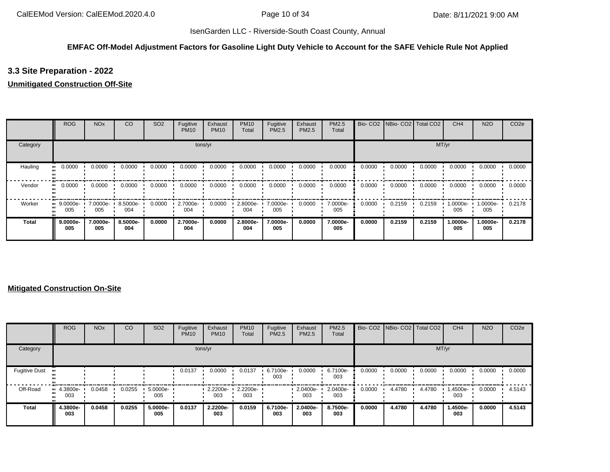# **EMFAC Off-Model Adjustment Factors for Gasoline Light Duty Vehicle to Account for the SAFE Vehicle Rule Not Applied**

# **3.3 Site Preparation - 2022**

#### **Unmitigated Construction Off-Site**

|          | <b>ROG</b>         | <b>NO<sub>x</sub></b> | CO              | SO <sub>2</sub> | Fugitive<br><b>PM10</b> | Exhaust<br><b>PM10</b> | <b>PM10</b><br>Total | Fugitive<br>PM2.5 | Exhaust<br>PM2.5 | PM2.5<br>Total  | Bio-CO <sub>2</sub> | NBio-CO2   Total CO2 |        | CH <sub>4</sub> | <b>N2O</b>      | CO <sub>2e</sub> |
|----------|--------------------|-----------------------|-----------------|-----------------|-------------------------|------------------------|----------------------|-------------------|------------------|-----------------|---------------------|----------------------|--------|-----------------|-----------------|------------------|
| Category |                    |                       |                 |                 |                         | tons/yr                |                      |                   |                  |                 |                     |                      | MT/yr  |                 |                 |                  |
| Hauling  | 0.0000             | 0.0000                | 0.0000          | 0.0000          | 0.0000                  | 0.0000                 | 0.0000               | 0.0000            | 0.0000           | 0.0000          | 0.0000              | 0.0000               | 0.0000 | 0.0000          | 0.0000          | 0.0000           |
| Vendor   | 0.0000             | 0.0000                | 0.0000          | 0.0000          | 0.0000                  | 0.0000                 | 0.0000               | 0.0000            | 0.0000           | 0.0000          | 0.0000              | 0.0000               | 0.0000 | 0.0000          | 0.0000          | 0.0000           |
| Worker   | $9.0000e-$<br>005  | 7.0000e-<br>005       | 8.5000e-<br>004 | 0.0000          | 2.7000e-<br>004         | 0.0000                 | 2.8000e-<br>004      | 7.0000e-<br>005   | 0.0000           | 7.0000e-<br>005 | 0.0000              | 0.2159               | 0.2159 | 1.0000e-<br>005 | 1.0000e-<br>005 | 0.2178           |
| Total    | $9.0000e -$<br>005 | 7.0000e-<br>005       | 8.5000e-<br>004 | 0.0000          | 2.7000e-<br>004         | 0.0000                 | 2.8000e-<br>004      | 7.0000e-<br>005   | 0.0000           | 7.0000e-<br>005 | 0.0000              | 0.2159               | 0.2159 | 1.0000e-<br>005 | 1.0000e-<br>005 | 0.2178           |

|                      | <b>ROG</b>                  | <b>NO<sub>x</sub></b> | CO     | SO <sub>2</sub> | Fugitive<br><b>PM10</b> | Exhaust<br><b>PM10</b> | <b>PM10</b><br>Total | Fugitive<br>PM2.5 | Exhaust<br>PM2.5 | PM2.5<br>Total  |        | Bio- CO2   NBio- CO2   Total CO2 |        | CH <sub>4</sub> | <b>N2O</b> | CO <sub>2e</sub> |
|----------------------|-----------------------------|-----------------------|--------|-----------------|-------------------------|------------------------|----------------------|-------------------|------------------|-----------------|--------|----------------------------------|--------|-----------------|------------|------------------|
| Category             |                             |                       |        |                 |                         | tons/yr                |                      |                   |                  |                 |        |                                  | MT/yr  |                 |            |                  |
| <b>Fugitive Dust</b> |                             |                       |        |                 | 0.0137                  | 0.0000                 | 0.0137               | 6.7100e-<br>003   | 0.0000           | 6.7100e-<br>003 | 0.0000 | 0.0000                           | 0.0000 | 0.0000          | 0.0000     | 0.0000           |
| Off-Road             | $\cdot$ 4.3800e-<br><br>003 | 0.0458                | 0.0255 | 5.0000e-<br>005 |                         | 2.2200e-<br>003        | 2.2200e-<br>003      |                   | 2.0400e-<br>003  | 2.0400e-<br>003 | 0.0000 | 4.4780                           | 4.4780 | 1.4500e-<br>003 | 0.0000     | 4.5143           |
| <b>Total</b>         | 4.3800e-<br>003             | 0.0458                | 0.0255 | 5.0000e-<br>005 | 0.0137                  | 2.2200e-<br>003        | 0.0159               | 6.7100e-<br>003   | 2.0400e-<br>003  | 8.7500e-<br>003 | 0.0000 | 4.4780                           | 4.4780 | 1.4500e-<br>003 | 0.0000     | 4.5143           |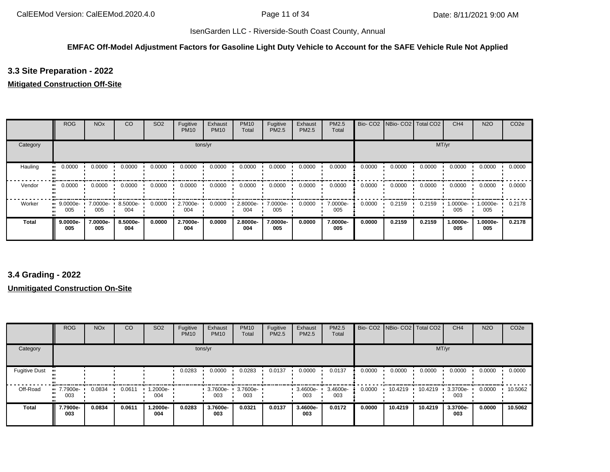#### **EMFAC Off-Model Adjustment Factors for Gasoline Light Duty Vehicle to Account for the SAFE Vehicle Rule Not Applied**

# **3.3 Site Preparation - 2022**

#### **Mitigated Construction Off-Site**

|          | <b>ROG</b>         | <b>NO<sub>x</sub></b> | CO              | SO <sub>2</sub> | Fugitive<br><b>PM10</b> | Exhaust<br><b>PM10</b> | <b>PM10</b><br>Total | Fugitive<br>PM2.5 | Exhaust<br>PM2.5 | PM2.5<br>Total  |        | Bio- CO2   NBio- CO2   Total CO2 |        | CH <sub>4</sub> | <b>N2O</b>      | CO <sub>2e</sub> |
|----------|--------------------|-----------------------|-----------------|-----------------|-------------------------|------------------------|----------------------|-------------------|------------------|-----------------|--------|----------------------------------|--------|-----------------|-----------------|------------------|
| Category |                    |                       |                 |                 |                         | tons/yr                |                      |                   |                  |                 |        |                                  | MT/yr  |                 |                 |                  |
| Hauling  | 0.0000<br>         | 0.0000                | 0.0000          | 0.0000          | 0.0000                  | 0.0000                 | 0.0000               | 0.0000            | 0.0000           | 0.0000          | 0.0000 | 0.0000                           | 0.0000 | 0.0000          | 0.0000          | 0.0000           |
| Vendor   | 0.0000<br>         | 0.0000                | 0.0000          | 0.0000          | 0.0000                  | 0.0000                 | 0.0000               | 0.0000            | 0.0000           | 0.0000          | 0.0000 | 0.0000                           | 0.0000 | 0.0000          | 0.0000          | 0.0000           |
| Worker   | $9.0000e-$<br>005  | 7.0000e-<br>005       | 8.5000e-<br>004 | 0.0000          | 2.7000e-<br>004         | 0.0000                 | 2.8000e-<br>004      | 7.0000e-<br>005   | 0.0000           | 7.0000e-<br>005 | 0.0000 | 0.2159                           | 0.2159 | 1.0000e-<br>005 | 1.0000e-<br>005 | 0.2178           |
| Total    | $9.0000e -$<br>005 | 7.0000e-<br>005       | 8.5000e-<br>004 | 0.0000          | 2.7000e-<br>004         | 0.0000                 | 2.8000e-<br>004      | 7.0000e-<br>005   | 0.0000           | 7.0000e-<br>005 | 0.0000 | 0.2159                           | 0.2159 | 1.0000e-<br>005 | 1.0000e-<br>005 | 0.2178           |

# **3.4 Grading - 2022**

|                      | <b>ROG</b>               | <b>NO<sub>x</sub></b> | CO     | SO <sub>2</sub> | Fugitive<br><b>PM10</b> | Exhaust<br><b>PM10</b> | <b>PM10</b><br>Total | Fugitive<br>PM2.5 | Exhaust<br>PM2.5 | PM2.5<br>Total  |        | Bio- CO2   NBio- CO2   Total CO2 |         | CH <sub>4</sub> | <b>N2O</b> | CO <sub>2e</sub> |
|----------------------|--------------------------|-----------------------|--------|-----------------|-------------------------|------------------------|----------------------|-------------------|------------------|-----------------|--------|----------------------------------|---------|-----------------|------------|------------------|
| Category             |                          |                       |        |                 |                         | tons/yr                |                      |                   |                  |                 |        |                                  |         | MT/yr           |            |                  |
| <b>Fugitive Dust</b> |                          |                       |        |                 | 0.0283                  | 0.0000                 | 0.0283               | 0.0137            | 0.0000           | 0.0137          | 0.0000 | 0.0000                           | 0.0000  | 0.0000          | 0.0000     | 0.0000           |
| Off-Road             | <b>u</b> 7.7900e-<br>003 | 0.0834                | 0.0611 | 1.2000e-<br>004 |                         | 3.7600e-<br>003        | 3.7600e-<br>003      |                   | 3.4600e-<br>003  | 3.4600e-<br>003 | 0.0000 | 10.4219                          | 10.4219 | 3.3700e-<br>003 | 0.0000     | 10.5062          |
| <b>Total</b>         | 7.7900e-<br>003          | 0.0834                | 0.0611 | 1.2000e-<br>004 | 0.0283                  | 3.7600e-<br>003        | 0.0321               | 0.0137            | 3.4600e-<br>003  | 0.0172          | 0.0000 | 10.4219                          | 10.4219 | 3.3700e-<br>003 | 0.0000     | 10.5062          |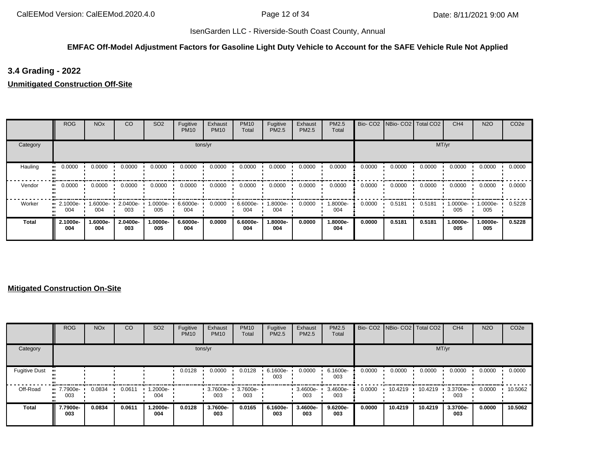# **EMFAC Off-Model Adjustment Factors for Gasoline Light Duty Vehicle to Account for the SAFE Vehicle Rule Not Applied**

# **3.4 Grading - 2022**

**Unmitigated Construction Off-Site**

|          | <b>ROG</b>                     | <b>NO<sub>x</sub></b> | CO              | SO <sub>2</sub> | Fugitive<br><b>PM10</b> | Exhaust<br><b>PM10</b> | <b>PM10</b><br>Total | Fugitive<br>PM2.5 | Exhaust<br><b>PM2.5</b> | PM2.5<br>Total  | Bio-CO <sub>2</sub> |        | NBio- CO2   Total CO2 | CH <sub>4</sub> | <b>N2O</b>      | CO <sub>2e</sub> |
|----------|--------------------------------|-----------------------|-----------------|-----------------|-------------------------|------------------------|----------------------|-------------------|-------------------------|-----------------|---------------------|--------|-----------------------|-----------------|-----------------|------------------|
| Category |                                |                       |                 |                 |                         | tons/yr                |                      |                   |                         |                 |                     |        |                       | MT/yr           |                 |                  |
| Hauling  | 0.0000                         | 0.0000                | 0.0000          | 0.0000          | 0.0000                  | 0.0000                 | 0.0000               | 0.0000            | 0.0000                  | 0.0000          | 0.0000              | 0.0000 | 0.0000                | 0.0000          | 0.0000          | 0.0000           |
| Vendor   | 0.0000                         | 0.0000                | 0.0000          | 0.0000          | 0.0000                  | 0.0000                 | 0.0000               | 0.0000            | 0.0000                  | 0.0000          | 0.0000              | 0.0000 | 0.0000                | 0.0000          | 0.0000          | 0.0000           |
| Worker   | $\blacksquare$ 2.1000e-<br>004 | 1.6000e-<br>004       | 2.0400e-<br>003 | -0000e-<br>005  | 6.6000e-<br>004         | 0.0000                 | 6.6000e-<br>004      | .8000e-<br>004    | 0.0000                  | 1.8000e-<br>004 | 0.0000              | 0.5181 | 0.5181                | 1.0000e-<br>005 | 1.0000e-<br>005 | 0.5228           |
| Total    | 2.1000e-<br>004                | 1.6000e-<br>004       | 2.0400e-<br>003 | 1.0000e-<br>005 | 6.6000e-<br>004         | 0.0000                 | 6.6000e-<br>004      | .8000e-<br>004    | 0.0000                  | 1.8000e-<br>004 | 0.0000              | 0.5181 | 0.5181                | 1.0000e-<br>005 | 1.0000e-<br>005 | 0.5228           |

|                      | <b>ROG</b>               | <b>NO<sub>x</sub></b> | CO     | SO <sub>2</sub> | Fugitive<br><b>PM10</b> | Exhaust<br><b>PM10</b> | <b>PM10</b><br>Total | Fugitive<br>PM2.5 | Exhaust<br><b>PM2.5</b> | <b>PM2.5</b><br>Total |        | Bio- CO2   NBio- CO2   Total CO2 |         | CH <sub>4</sub> | <b>N2O</b> | CO <sub>2e</sub> |
|----------------------|--------------------------|-----------------------|--------|-----------------|-------------------------|------------------------|----------------------|-------------------|-------------------------|-----------------------|--------|----------------------------------|---------|-----------------|------------|------------------|
| Category             |                          |                       |        |                 |                         | tons/yr                |                      |                   |                         |                       |        |                                  | MT/yr   |                 |            |                  |
| <b>Fugitive Dust</b> |                          |                       |        |                 | 0.0128                  | 0.0000                 | 0.0128               | 6.1600e-<br>003   | 0.0000                  | 6.1600e-<br>003       | 0.0000 | 0.0000                           | 0.0000  | 0.0000          | 0.0000     | 0.0000           |
| Off-Road             | <b>u</b> 7.7900e-<br>003 | 0.0834                | 0.0611 | 1.2000e-<br>004 |                         | 3.7600e-<br>003        | 3.7600e-<br>003      |                   | 3.4600e-<br>003         | 3.4600e-<br>003       | 0.0000 | 10.4219                          | 10.4219 | 3.3700e-<br>003 | 0.0000     | 10.5062          |
| <b>Total</b>         | 7.7900e-<br>003          | 0.0834                | 0.0611 | -2000e.<br>004  | 0.0128                  | 3.7600e-<br>003        | 0.0165               | 6.1600e-<br>003   | 3.4600e-<br>003         | 9.6200e-<br>003       | 0.0000 | 10.4219                          | 10.4219 | 3.3700e-<br>003 | 0.0000     | 10.5062          |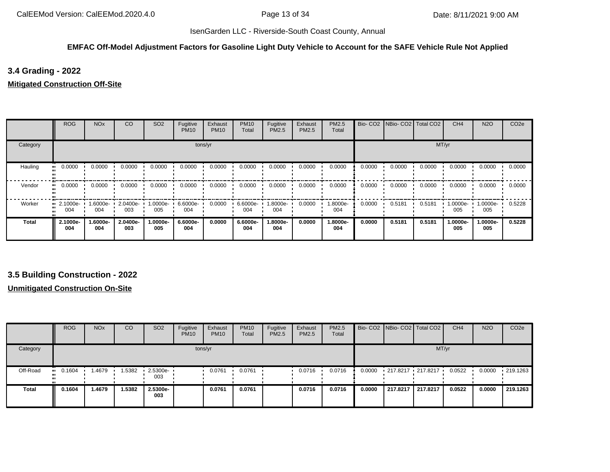#### **EMFAC Off-Model Adjustment Factors for Gasoline Light Duty Vehicle to Account for the SAFE Vehicle Rule Not Applied**

# **3.4 Grading - 2022**

#### **Mitigated Construction Off-Site**

|          | <b>ROG</b>              | <b>NO<sub>x</sub></b> | CO              | SO <sub>2</sub> | Fugitive<br><b>PM10</b> | Exhaust<br><b>PM10</b> | <b>PM10</b><br>Total | Fugitive<br>PM2.5 | Exhaust<br>PM2.5 | PM2.5<br>Total  |        | Bio- CO2   NBio- CO2   Total CO2 |        | CH <sub>4</sub> | <b>N2O</b>      | CO <sub>2e</sub> |
|----------|-------------------------|-----------------------|-----------------|-----------------|-------------------------|------------------------|----------------------|-------------------|------------------|-----------------|--------|----------------------------------|--------|-----------------|-----------------|------------------|
| Category |                         |                       |                 |                 |                         | tons/yr                |                      |                   |                  |                 |        |                                  |        | MT/yr           |                 |                  |
| Hauling  | 0.0000                  | 0.0000                | 0.0000          | 0.0000          | 0.0000                  | 0.0000                 | 0.0000               | 0.0000            | 0.0000           | 0.0000          | 0.0000 | 0.0000                           | 0.0000 | 0.0000          | 0.0000          | 0.0000           |
| Vendor   | 0.0000<br>              | 0.0000                | 0.0000          | 0.0000          | 0.0000                  | 0.0000                 | 0.0000               | 0.0000            | 0.0000           | 0.0000          | 0.0000 | 0.0000                           | 0.0000 | 0.0000          | 0.0000          | 0.0000           |
| Worker   | $\cdot$ 2.1000e-<br>004 | 1.6000e-<br>004       | 2.0400e-<br>003 | 1.0000e-<br>005 | $6.6000e -$<br>004      | 0.0000                 | 6.6000e-<br>004      | 1.8000e-<br>004   | 0.0000           | 1.8000e-<br>004 | 0.0000 | 0.5181                           | 0.5181 | 1.0000e-<br>005 | 1.0000e-<br>005 | 0.5228           |
| Total    | 2.1000e-<br>004         | 1.6000e-<br>004       | 2.0400e-<br>003 | 1.0000e-<br>005 | 6.6000e-<br>004         | 0.0000                 | 6.6000e-<br>004      | 1.8000e-<br>004   | 0.0000           | 1.8000e-<br>004 | 0.0000 | 0.5181                           | 0.5181 | 1.0000e-<br>005 | 1.0000e-<br>005 | 0.5228           |

# **3.5 Building Construction - 2022**

|              | <b>ROG</b>    | <b>NO<sub>x</sub></b> | CO    | SO <sub>2</sub>                 | Fugitive<br><b>PM10</b> | Exhaust<br><b>PM10</b> | <b>PM10</b><br>Total | Fugitive<br>PM2.5 | Exhaust<br>PM2.5 | <b>PM2.5</b><br>Total |        | Bio- CO2   NBio- CO2   Total CO2 |          | CH <sub>4</sub> | <b>N2O</b> | CO <sub>2e</sub> |
|--------------|---------------|-----------------------|-------|---------------------------------|-------------------------|------------------------|----------------------|-------------------|------------------|-----------------------|--------|----------------------------------|----------|-----------------|------------|------------------|
| Category     |               |                       |       |                                 | tons/yr                 |                        |                      |                   |                  |                       |        |                                  | MT/yr    |                 |            |                  |
| Off-Road     | 0.1604<br>. . | 1.4679                | .5382 | $\cdot$ 2.5300e- $\cdot$<br>003 |                         | 0.0761                 | 0.0761               |                   | 0.0716           | 0.0716                | 0.0000 | 217.8217 217.8217                |          | 0.0522          | 0.0000     | $\cdot$ 219.1263 |
| <b>Total</b> | 0.1604        | 1.4679                | .5382 | 2.5300e-<br>003                 |                         | 0.0761                 | 0.0761               |                   | 0.0716           | 0.0716                | 0.0000 | 217.8217                         | 217.8217 | 0.0522          | 0.0000     | 219.1263         |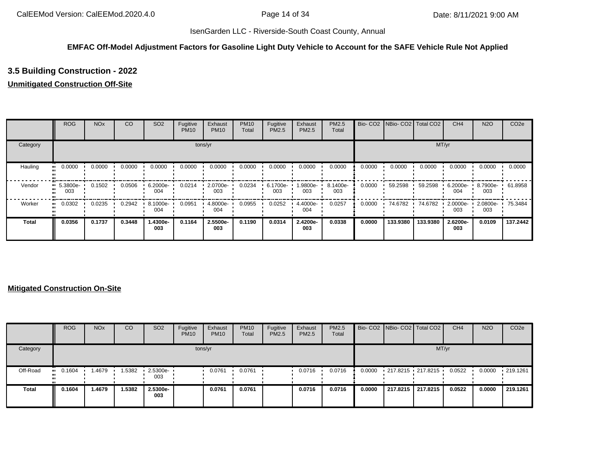#### **EMFAC Off-Model Adjustment Factors for Gasoline Light Duty Vehicle to Account for the SAFE Vehicle Rule Not Applied**

# **3.5 Building Construction - 2022**

# **Unmitigated Construction Off-Site**

|              | <b>ROG</b>                     | <b>NO<sub>x</sub></b> | CO     | SO <sub>2</sub> | Fugitive<br><b>PM10</b> | Exhaust<br><b>PM10</b> | <b>PM10</b><br>Total | Fugitive<br>PM2.5 | Exhaust<br>PM2.5 | <b>PM2.5</b><br>Total |        | Bio- CO2   NBio- CO2   Total CO2 |          | CH <sub>4</sub> | <b>N2O</b>        | CO <sub>2e</sub> |
|--------------|--------------------------------|-----------------------|--------|-----------------|-------------------------|------------------------|----------------------|-------------------|------------------|-----------------------|--------|----------------------------------|----------|-----------------|-------------------|------------------|
| Category     |                                |                       |        |                 |                         | tons/yr                |                      |                   |                  |                       |        |                                  | MT/yr    |                 |                   |                  |
| Hauling      | 0.0000<br>                     | 0.0000                | 0.0000 | 0.0000          | 0.0000                  | 0.0000                 | 0.0000               | 0.0000            | 0.0000           | 0.0000                | 0.0000 | 0.0000                           | 0.0000   | 0.0000          | 0.0000            | 0.0000           |
| Vendor       | $\blacksquare$ 5.3800e-<br>003 | 0.1502                | 0.0506 | 6.2000e-<br>004 | 0.0214                  | 2.0700e-<br>003        | 0.0234               | 6.1700e-<br>003   | -9800e-<br>003   | 8.1400e-<br>003       | 0.0000 | 59.2598                          | 59.2598  | 6.2000e-<br>004 | 8.7900e- ·<br>003 | 61.8958          |
| Worker       | 0.0302<br>                     | 0.0235                | 0.2942 | 8.1000e-<br>004 | 0.0951                  | 4.8000e-<br>004        | 0.0955               | 0.0252            | 4.4000e-<br>004  | 0.0257                | 0.0000 | 74.6782                          | 74.6782  | 2.0000e-<br>003 | 2.0800e-<br>003   | 75.3484          |
| <b>Total</b> | 0.0356                         | 0.1737                | 0.3448 | 1.4300e-<br>003 | 0.1164                  | 2.5500e-<br>003        | 0.1190               | 0.0314            | 2.4200e-<br>003  | 0.0338                | 0.0000 | 133.9380                         | 133.9380 | 2.6200e-<br>003 | 0.0109            | 137.2442         |

|              | <b>ROG</b> | <b>NO<sub>x</sub></b> | CO     | SO <sub>2</sub>                 | Fugitive<br><b>PM10</b> | Exhaust<br><b>PM10</b> | <b>PM10</b><br>Total | Fugitive<br>PM2.5 | Exhaust<br><b>PM2.5</b> | <b>PM2.5</b><br>Total |        | Bio- CO2   NBio- CO2   Total CO2 |          | CH <sub>4</sub> | <b>N2O</b> | CO <sub>2</sub> e |
|--------------|------------|-----------------------|--------|---------------------------------|-------------------------|------------------------|----------------------|-------------------|-------------------------|-----------------------|--------|----------------------------------|----------|-----------------|------------|-------------------|
| Category     |            |                       |        |                                 | tons/yr                 |                        |                      |                   |                         |                       |        |                                  | MT/yr    |                 |            |                   |
| Off-Road     | 0.1604     | .4679                 | .5382  | $\cdot$ 2.5300e- $\cdot$<br>003 |                         | 0.0761                 | 0.0761               |                   | 0.0716                  | 0.0716                | 0.0000 | $-217.8215 - 217.8215$           |          | 0.0522          | 0.0000     | $\cdot$ 219.1261  |
| <b>Total</b> | 0.1604     | .4679                 | 1.5382 | 2.5300e-<br>003                 |                         | 0.0761                 | 0.0761               |                   | 0.0716                  | 0.0716                | 0.0000 | 217.8215                         | 217.8215 | 0.0522          | 0.0000     | 219.1261          |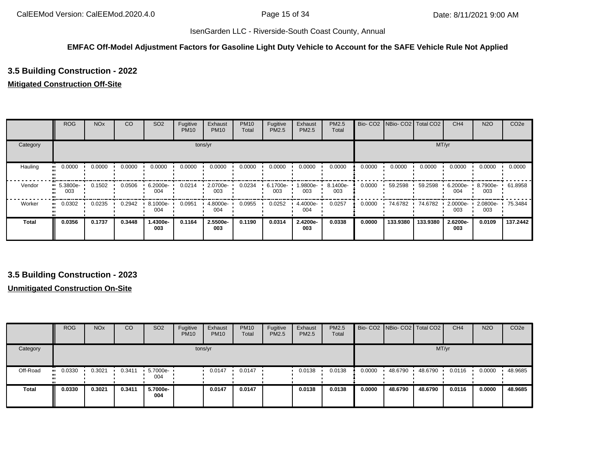#### **EMFAC Off-Model Adjustment Factors for Gasoline Light Duty Vehicle to Account for the SAFE Vehicle Rule Not Applied**

# **3.5 Building Construction - 2022**

#### **Mitigated Construction Off-Site**

|              | <b>ROG</b>                     | <b>NO<sub>x</sub></b> | CO     | SO <sub>2</sub> | Fugitive<br><b>PM10</b> | Exhaust<br><b>PM10</b> | <b>PM10</b><br>Total | Fugitive<br><b>PM2.5</b> | Exhaust<br>PM2.5 | <b>PM2.5</b><br>Total |        | Bio- CO2   NBio- CO2   Total CO2 |          | CH <sub>4</sub>    | <b>N2O</b>         | CO <sub>2e</sub> |
|--------------|--------------------------------|-----------------------|--------|-----------------|-------------------------|------------------------|----------------------|--------------------------|------------------|-----------------------|--------|----------------------------------|----------|--------------------|--------------------|------------------|
| Category     |                                |                       |        |                 |                         | tons/yr                |                      |                          |                  |                       |        |                                  | MT/yr    |                    |                    |                  |
| Hauling      | 0.0000                         | 0.0000                | 0.0000 | 0.0000          | 0.0000                  | 0.0000                 | 0.0000               | 0.0000                   | 0.0000           | 0.0000                | 0.0000 | 0.0000                           | 0.0000   | 0.0000             | 0.0000             | 0.0000           |
| Vendor       | $\blacksquare$ 5.3800e-<br>003 | 0.1502                | 0.0506 | 6.2000e-<br>004 | 0.0214                  | 2.0700e-<br>003        | 0.0234               | 6.1700e-<br>003          | -9800e- I<br>003 | 8.1400e-<br>003       | 0.0000 | 59.2598                          | 59.2598  | $6.2000e -$<br>004 | $8.7900e -$<br>003 | 61.8958          |
| Worker       | 0.0302<br>                     | 0.0235                | 0.2942 | 8.1000e-<br>004 | 0.0951                  | 4.8000e-<br>004        | 0.0955               | 0.0252                   | 4.4000e-<br>004  | 0.0257                | 0.0000 | 74.6782                          | 74.6782  | 2.0000e-<br>003    | 2.0800e-<br>003    | 75.3484          |
| <b>Total</b> | 0.0356                         | 0.1737                | 0.3448 | 1.4300e-<br>003 | 0.1164                  | 2.5500e-<br>003        | 0.1190               | 0.0314                   | 2.4200e-<br>003  | 0.0338                | 0.0000 | 133.9380                         | 133.9380 | 2.6200e-<br>003    | 0.0109             | 137.2442         |

# **3.5 Building Construction - 2023**

|              | <b>ROG</b> | <b>NO<sub>x</sub></b> | CO     | SO <sub>2</sub>   | Fugitive<br><b>PM10</b> | Exhaust<br><b>PM10</b> | <b>PM10</b><br>Total | Fugitive<br>PM2.5 | Exhaust<br>PM2.5 | PM2.5<br>Total |        | Bio- CO2 NBio- CO2 Total CO2 |         | CH <sub>4</sub> | <b>N2O</b> | CO <sub>2e</sub> |
|--------------|------------|-----------------------|--------|-------------------|-------------------------|------------------------|----------------------|-------------------|------------------|----------------|--------|------------------------------|---------|-----------------|------------|------------------|
| Category     |            |                       |        |                   |                         | tons/yr                |                      |                   |                  |                |        |                              | MT/yr   |                 |            |                  |
| Off-Road     | 0.0330<br> | 0.3021                | 0.3411 | 5.7000e- ·<br>004 |                         | 0.0147                 | 0.0147               |                   | 0.0138           | 0.0138         | 0.0000 | 48.6790                      | 48.6790 | 0.0116          | 0.0000     | 48.9685          |
| <b>Total</b> | 0.0330     | 0.3021                | 0.3411 | 5.7000e-<br>004   |                         | 0.0147                 | 0.0147               |                   | 0.0138           | 0.0138         | 0.0000 | 48.6790                      | 48.6790 | 0.0116          | 0.0000     | 48.9685          |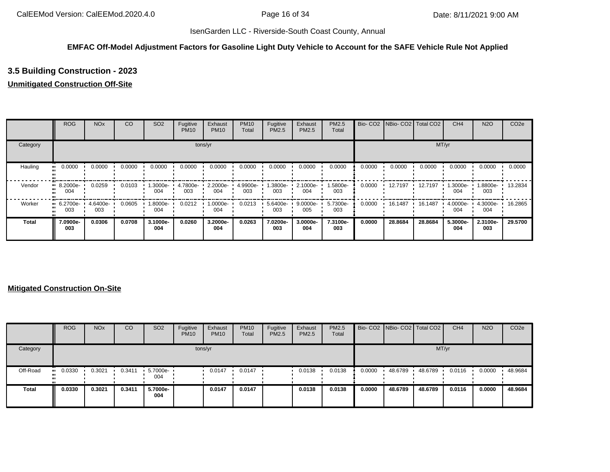#### **EMFAC Off-Model Adjustment Factors for Gasoline Light Duty Vehicle to Account for the SAFE Vehicle Rule Not Applied**

# **3.5 Building Construction - 2023**

# **Unmitigated Construction Off-Site**

|              | <b>ROG</b>                     | <b>NO<sub>x</sub></b> | CO     | SO <sub>2</sub> | Fugitive<br><b>PM10</b> | Exhaust<br><b>PM10</b> | <b>PM10</b><br>Total | Fugitive<br><b>PM2.5</b> | Exhaust<br>PM2.5 | <b>PM2.5</b><br>Total |        | Bio- CO2   NBio- CO2   Total CO2 |         | CH <sub>4</sub> | <b>N2O</b>         | CO <sub>2e</sub> |
|--------------|--------------------------------|-----------------------|--------|-----------------|-------------------------|------------------------|----------------------|--------------------------|------------------|-----------------------|--------|----------------------------------|---------|-----------------|--------------------|------------------|
| Category     |                                |                       |        |                 |                         | tons/yr                |                      |                          |                  |                       |        |                                  | MT/yr   |                 |                    |                  |
| Hauling      | 0.0000<br>                     | 0.0000                | 0.0000 | 0.0000          | 0.0000                  | 0.0000                 | 0.0000               | 0.0000                   | 0.0000           | 0.0000                | 0.0000 | 0.0000                           | 0.0000  | 0.0000          | 0.0000             | 0.0000           |
| Vendor       | $\blacksquare$ 8.2000e-<br>004 | 0.0259                | 0.0103 | -3000e.<br>004  | 4.7800e-<br>003         | 2.2000e-<br>004        | 4.9900e-<br>003      | 1.3800e-<br>003          | 2.1000e-<br>004  | 1.5800e-<br>003       | 0.0000 | 12.7197                          | 12.7197 | 1.3000e-<br>004 | $1.8800e -$<br>003 | 13.2834          |
| Worker       | $-6.2700e-$<br>003             | 4.6400e-<br>003       | 0.0605 | -8000e.<br>004  | 0.0212                  | 1.0000e-<br>004        | 0.0213               | 5.6400e-<br>003          | 9.0000e-<br>005  | 5.7300e-<br>003       | 0.0000 | 16.1487                          | 16.1487 | 4.0000e-<br>004 | 4.3000e-<br>004    | 16.2865          |
| <b>Total</b> | 7.0900e-<br>003                | 0.0306                | 0.0708 | 3.1000e-<br>004 | 0.0260                  | 3.2000e-<br>004        | 0.0263               | 7.0200e-<br>003          | 3.0000e-<br>004  | 7.3100e-<br>003       | 0.0000 | 28.8684                          | 28.8684 | 5.3000e-<br>004 | 2.3100e-<br>003    | 29.5700          |

|              | <b>ROG</b> | <b>NO<sub>x</sub></b> | CO     | SO <sub>2</sub>    | Fugitive<br><b>PM10</b> | Exhaust<br><b>PM10</b> | <b>PM10</b><br>Total | Fugitive<br>PM2.5 | Exhaust<br><b>PM2.5</b> | <b>PM2.5</b><br>Total |        | Bio- CO2   NBio- CO2   Total CO2 |         | CH <sub>4</sub> | <b>N2O</b> | CO <sub>2e</sub> |
|--------------|------------|-----------------------|--------|--------------------|-------------------------|------------------------|----------------------|-------------------|-------------------------|-----------------------|--------|----------------------------------|---------|-----------------|------------|------------------|
| Category     |            |                       |        |                    |                         | tons/yr                |                      |                   |                         |                       |        |                                  | MT/yr   |                 |            |                  |
| Off-Road     | 0.0330     | 0.3021                | 0.3411 | $5.7000e -$<br>004 |                         | 0.0147                 | 0.0147               |                   | 0.0138                  | 0.0138                | 0.0000 | 48.6789                          | 48.6789 | 0.0116          | 0.0000     | 48.9684          |
| <b>Total</b> | 0.0330     | 0.3021                | 0.3411 | 5.7000e-<br>004    |                         | 0.0147                 | 0.0147               |                   | 0.0138                  | 0.0138                | 0.0000 | 48.6789                          | 48.6789 | 0.0116          | 0.0000     | 48.9684          |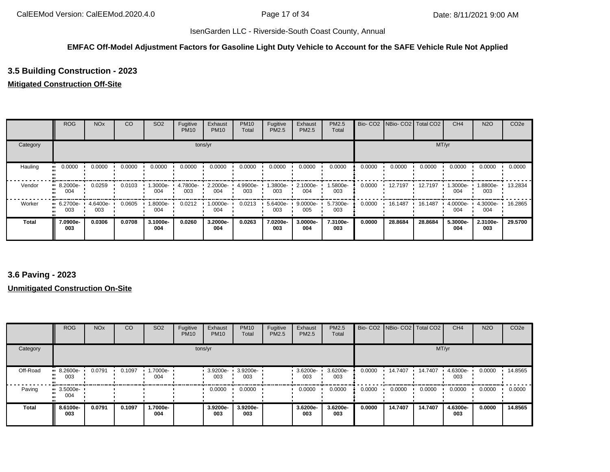#### **EMFAC Off-Model Adjustment Factors for Gasoline Light Duty Vehicle to Account for the SAFE Vehicle Rule Not Applied**

# **3.5 Building Construction - 2023**

#### **Mitigated Construction Off-Site**

|          | <b>ROG</b>              | <b>NO<sub>x</sub></b> | <sub>CO</sub> | SO <sub>2</sub> | Fugitive<br><b>PM10</b> | Exhaust<br><b>PM10</b> | <b>PM10</b><br>Total | Fugitive<br>PM2.5 | Exhaust<br>PM2.5 | <b>PM2.5</b><br>Total |        | Bio- CO2 NBio- CO2 Total CO2 |         | CH <sub>4</sub>  | <b>N2O</b>      | CO <sub>2e</sub> |
|----------|-------------------------|-----------------------|---------------|-----------------|-------------------------|------------------------|----------------------|-------------------|------------------|-----------------------|--------|------------------------------|---------|------------------|-----------------|------------------|
| Category |                         |                       |               |                 |                         | tons/yr                |                      |                   |                  |                       |        |                              |         | MT/yr            |                 |                  |
| Hauling  | 0.0000                  | 0.0000                | 0.0000        | 0.0000          | 0.0000                  | 0.0000                 | 0.0000               | 0.0000            | 0.0000           | 0.0000                | 0.0000 | 0.0000                       | 0.0000  | 0.0000           | 0.0000          | 0.0000           |
| Vendor   | $\cdot$ 8.2000e-<br>004 | 0.0259                | 0.0103        | --3000e.<br>004 | 4.7800e-<br>003         | 2.2000e-<br>004        | 4.9900e-<br>003      | 1.3800e-<br>003   | 2.1000e-<br>004  | 1.5800e-<br>003       | 0.0000 | 12.7197                      | 12.7197 | --3000e.l<br>004 | -8800e-<br>003  | 13.2834          |
| Worker   | $-6.2700e-$<br>003      | 4.6400e-<br>003       | 0.0605        | -.8000e<br>004  | 0.0212                  | 1.0000e-<br>004        | 0.0213               | 5.6400e-<br>003   | 9.0000e-<br>005  | 5.7300e-<br>003       | 0.0000 | 16.1487                      | 16.1487 | 4.0000e-<br>004  | 4.3000e-<br>004 | 16.2865          |
| Total    | 7.0900e-<br>003         | 0.0306                | 0.0708        | 3.1000e-<br>004 | 0.0260                  | 3.2000e-<br>004        | 0.0263               | 7.0200e-<br>003   | 3.0000e-<br>004  | 7.3100e-<br>003       | 0.0000 | 28.8684                      | 28.8684 | 5.3000e-<br>004  | 2.3100e-<br>003 | 29.5700          |

# **3.6 Paving - 2023**

|              | <b>ROG</b>                     | <b>NO<sub>x</sub></b> | CO     | SO <sub>2</sub> | Fugitive<br><b>PM10</b> | Exhaust<br><b>PM10</b> | <b>PM10</b><br>Total | Fugitive<br>PM2.5 | Exhaust<br>PM2.5 | PM2.5<br>Total  |        | Bio- CO2   NBio- CO2   Total CO2 |         | CH <sub>4</sub> | <b>N2O</b> | CO <sub>2e</sub> |
|--------------|--------------------------------|-----------------------|--------|-----------------|-------------------------|------------------------|----------------------|-------------------|------------------|-----------------|--------|----------------------------------|---------|-----------------|------------|------------------|
| Category     |                                |                       |        |                 |                         | tons/yr                |                      |                   |                  |                 |        |                                  | MT/yr   |                 |            |                  |
| Off-Road     | $9.2600e-$<br>003              | 0.0791                | 0.1097 | 1.7000e-<br>004 |                         | 3.9200e-<br>003        | 3.9200e-<br>003      |                   | 3.6200e-<br>003  | 3.6200e-<br>003 | 0.0000 | 14.7407                          | 14.7407 | 4.6300e-<br>003 | 0.0000     | 14.8565          |
| Paving       | $\blacksquare$ 3.5000e-<br>004 |                       |        |                 |                         | 0.0000                 | 0.0000               |                   | 0.0000           | 0.0000          | 0.0000 | 0.0000                           | 0.0000  | 0.0000          | 0.0000     | 0.0000           |
| <b>Total</b> | 8.6100e-<br>003                | 0.0791                | 0.1097 | 1.7000e-<br>004 |                         | 3.9200e-<br>003        | 3.9200e-<br>003      |                   | 3.6200e-<br>003  | 3.6200e-<br>003 | 0.0000 | 14.7407                          | 14.7407 | 4.6300e-<br>003 | 0.0000     | 14.8565          |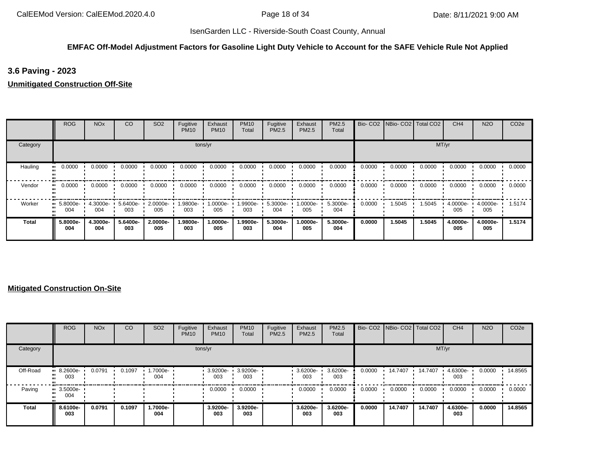# **EMFAC Off-Model Adjustment Factors for Gasoline Light Duty Vehicle to Account for the SAFE Vehicle Rule Not Applied**

# **3.6 Paving - 2023**

#### **Unmitigated Construction Off-Site**

|          | <b>ROG</b>                     | <b>NO<sub>x</sub></b> | CO              | SO <sub>2</sub> | Fugitive<br><b>PM10</b> | Exhaust<br><b>PM10</b> | <b>PM10</b><br>Total | Fugitive<br>PM2.5 | Exhaust<br>PM2.5 | PM2.5<br>Total  | Bio-CO <sub>2</sub> | NBio-CO2   Total CO2 |        | CH <sub>4</sub> | <b>N2O</b>      | CO <sub>2e</sub> |
|----------|--------------------------------|-----------------------|-----------------|-----------------|-------------------------|------------------------|----------------------|-------------------|------------------|-----------------|---------------------|----------------------|--------|-----------------|-----------------|------------------|
| Category |                                |                       |                 |                 |                         | tons/yr                |                      |                   |                  |                 |                     |                      | MT/yr  |                 |                 |                  |
| Hauling  | 0.0000                         | 0.0000                | 0.0000          | 0.0000          | 0.0000                  | 0.0000                 | 0.0000               | 0.0000            | 0.0000           | 0.0000          | 0.0000              | 0.0000               | 0.0000 | 0.0000          | 0.0000          | 0.0000           |
| Vendor   | 0.0000                         | 0.0000                | 0.0000          | 0.0000          | 0.0000                  | 0.0000                 | 0.0000               | 0.0000            | 0.0000           | 0.0000          | 0.0000              | 0.0000               | 0.0000 | 0.0000          | 0.0000          | 0.0000           |
| Worker   | $\blacksquare$ 5.8000e-<br>004 | 4.3000e-<br>004       | 5.6400e-<br>003 | 2.0000e-<br>005 | 1.9800e-<br>003         | 1.0000e-<br>005        | .9900e-<br>003       | 5.3000e-<br>004   | 1.0000e-<br>005  | 5.3000e-<br>004 | 0.0000              | 1.5045               | 1.5045 | 4.0000e-<br>005 | 4.0000e-<br>005 | 1.5174           |
| Total    | 5.8000e-<br>004                | 4.3000e-<br>004       | 5.6400e-<br>003 | 2.0000e-<br>005 | 1.9800e-<br>003         | 1.0000e-<br>005        | 1.9900e-<br>003      | 5.3000e-<br>004   | 1.0000e-<br>005  | 5.3000e-<br>004 | 0.0000              | 1.5045               | 1.5045 | 4.0000e-<br>005 | 4.0000e-<br>005 | 1.5174           |

|          | <b>ROG</b>                     | <b>NO<sub>x</sub></b> | CO     | SO <sub>2</sub> | Fugitive<br><b>PM10</b> | Exhaust<br><b>PM10</b> | <b>PM10</b><br>Total | Fugitive<br>PM2.5 | Exhaust<br><b>PM2.5</b> | <b>PM2.5</b><br>Total |        | Bio- CO2   NBio- CO2   Total CO2 |         | CH <sub>4</sub> | <b>N2O</b> | CO <sub>2e</sub> |
|----------|--------------------------------|-----------------------|--------|-----------------|-------------------------|------------------------|----------------------|-------------------|-------------------------|-----------------------|--------|----------------------------------|---------|-----------------|------------|------------------|
| Category |                                |                       |        |                 | tons/yr                 |                        |                      |                   |                         |                       |        |                                  | MT/yr   |                 |            |                  |
| Off-Road | $\cdot$ 8.2600e-<br>003        | 0.0791                | 0.1097 | 1.7000e-<br>004 |                         | 3.9200e-<br>003        | 3.9200e-<br>003      |                   | 3.6200e-<br>003         | 3.6200e-<br>003       | 0.0000 | 14.7407                          | 14.7407 | 4.6300e-<br>003 | 0.0000     | 14.8565          |
| Paving   | $\blacksquare$ 3.5000e-<br>004 |                       |        |                 |                         | 0.0000                 | 0.0000               |                   | 0.0000                  | 0.0000                | 0.0000 | 0.0000                           | 0.0000  | 0.0000          | 0.0000     | 0.0000           |
| Total    | 8.6100e-<br>003                | 0.0791                | 0.1097 | 1.7000e-<br>004 |                         | 3.9200e-<br>003        | 3.9200e-<br>003      |                   | 3.6200e-<br>003         | 3.6200e-<br>003       | 0.0000 | 14.7407                          | 14.7407 | 4.6300e-<br>003 | 0.0000     | 14.8565          |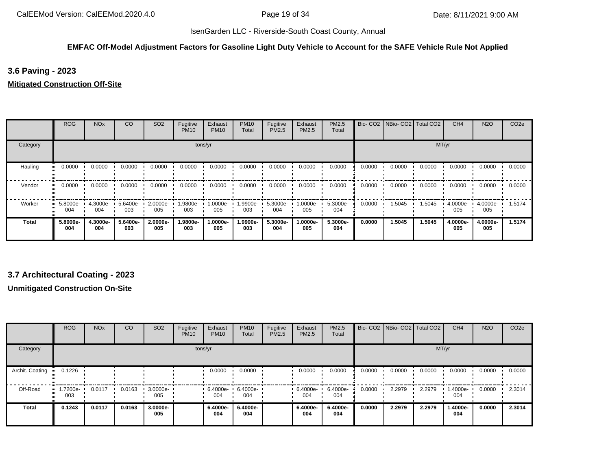#### **EMFAC Off-Model Adjustment Factors for Gasoline Light Duty Vehicle to Account for the SAFE Vehicle Rule Not Applied**

# **3.6 Paving - 2023**

#### **Mitigated Construction Off-Site**

|          | <b>ROG</b>                     | <b>NO<sub>x</sub></b> | <sub>CO</sub>   | SO <sub>2</sub> | Fugitive<br><b>PM10</b> | Exhaust<br><b>PM10</b> | <b>PM10</b><br>Total | Fugitive<br>PM2.5 | Exhaust<br>PM2.5 | PM2.5<br>Total  |        | Bio- CO2   NBio- CO2   Total CO2 |        | CH <sub>4</sub> | <b>N2O</b>      | CO <sub>2e</sub> |
|----------|--------------------------------|-----------------------|-----------------|-----------------|-------------------------|------------------------|----------------------|-------------------|------------------|-----------------|--------|----------------------------------|--------|-----------------|-----------------|------------------|
| Category |                                |                       |                 |                 |                         | tons/yr                |                      |                   |                  |                 |        |                                  |        | MT/yr           |                 |                  |
| Hauling  | 0.0000                         | 0.0000                | 0.0000          | 0.0000          | 0.0000                  | 0.0000                 | 0.0000               | 0.0000            | 0.0000           | 0.0000          | 0.0000 | 0.0000                           | 0.0000 | 0.0000          | 0.0000          | 0.0000           |
| Vendor   | 0.0000<br>                     | 0.0000                | 0.0000          | 0.0000          | 0.0000                  | 0.0000                 | 0.0000               | 0.0000            | 0.0000           | 0.0000          | 0.0000 | 0.0000                           | 0.0000 | 0.0000          | 0.0000          | 0.0000           |
| Worker   | $\blacksquare$ 5.8000e-<br>004 | 4.3000e-<br>004       | 5.6400e-<br>003 | 2.0000e-<br>005 | -9800e-<br>003          | 1.0000e-<br>005        | 1.9900e-<br>003      | 5.3000e-<br>004   | 1.0000e-<br>005  | 5.3000e-<br>004 | 0.0000 | 1.5045                           | 1.5045 | 4.0000e-<br>005 | 4.0000e-<br>005 | 1.5174           |
| Total    | 5.8000e-<br>004                | 4.3000e-<br>004       | 5.6400e-<br>003 | 2.0000e-<br>005 | 1.9800e-<br>003         | 1.0000e-<br>005        | 1.9900e-<br>003      | 5.3000e-<br>004   | 1.0000e-<br>005  | 5.3000e-<br>004 | 0.0000 | 1.5045                           | 1.5045 | 4.0000e-<br>005 | 4.0000e-<br>005 | 1.5174           |

# **3.7 Architectural Coating - 2023**

|                 | <b>ROG</b>      | <b>NO<sub>x</sub></b> | CO     | SO <sub>2</sub> | Fugitive<br><b>PM10</b> | Exhaust<br><b>PM10</b> | <b>PM10</b><br>Total | Fugitive<br>PM2.5 | Exhaust<br><b>PM2.5</b> | PM2.5<br>Total  |        | Bio- CO2 NBio- CO2 Total CO2 |        | CH <sub>4</sub> | <b>N2O</b> | CO <sub>2e</sub> |
|-----------------|-----------------|-----------------------|--------|-----------------|-------------------------|------------------------|----------------------|-------------------|-------------------------|-----------------|--------|------------------------------|--------|-----------------|------------|------------------|
| Category        |                 |                       |        |                 | tons/yr                 |                        |                      |                   |                         |                 |        |                              | MT/yr  |                 |            |                  |
| Archit. Coating | 0.1226          |                       |        |                 |                         | 0.0000                 | 0.0000               |                   | 0.0000                  | 0.0000          | 0.0000 | 0.0000                       | 0.0000 | 0.0000          | 0.0000     | 0.0000           |
| Off-Road        | 1.7200e-<br>003 | 0.0117                | 0.0163 | 3.0000e-<br>005 |                         | 6.4000e-<br>004        | 6.4000e-<br>004      |                   | 6.4000e-<br>004         | 6.4000e-<br>004 | 0.0000 | 2.2979                       | 2.2979 | .4000e-<br>004  | 0.0000     | 2.3014           |
| <b>Total</b>    | 0.1243          | 0.0117                | 0.0163 | 3.0000e-<br>005 |                         | 6.4000e-<br>004        | 6.4000e-<br>004      |                   | 6.4000e-<br>004         | 6.4000e-<br>004 | 0.0000 | 2.2979                       | 2.2979 | 1.4000e-<br>004 | 0.0000     | 2.3014           |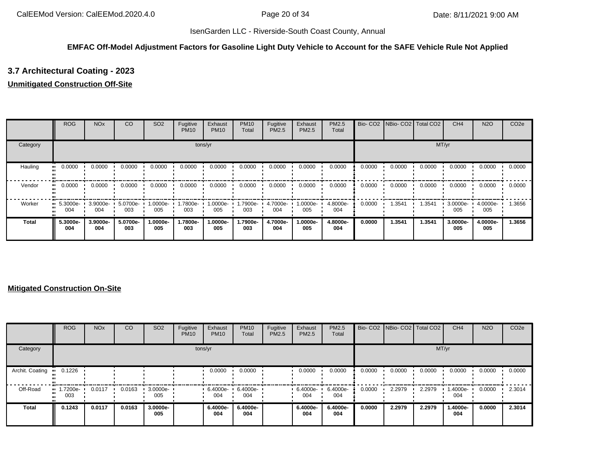## **EMFAC Off-Model Adjustment Factors for Gasoline Light Duty Vehicle to Account for the SAFE Vehicle Rule Not Applied**

# **3.7 Architectural Coating - 2023**

#### **Unmitigated Construction Off-Site**

|          | <b>ROG</b>                     | <b>NO<sub>x</sub></b> | CO              | SO <sub>2</sub> | Fugitive<br><b>PM10</b> | Exhaust<br><b>PM10</b> | <b>PM10</b><br>Total | Fugitive<br>PM2.5 | Exhaust<br>PM2.5 | PM2.5<br>Total  | Bio-CO <sub>2</sub> | NBio-CO2   Total CO2 |        | CH <sub>4</sub> | <b>N2O</b>      | CO <sub>2e</sub> |
|----------|--------------------------------|-----------------------|-----------------|-----------------|-------------------------|------------------------|----------------------|-------------------|------------------|-----------------|---------------------|----------------------|--------|-----------------|-----------------|------------------|
| Category |                                |                       |                 |                 |                         | tons/yr                |                      |                   |                  |                 |                     |                      | MT/yr  |                 |                 |                  |
| Hauling  | 0.0000                         | 0.0000                | 0.0000          | 0.0000          | 0.0000                  | 0.0000                 | 0.0000               | 0.0000            | 0.0000           | 0.0000          | 0.0000              | 0.0000               | 0.0000 | 0.0000          | 0.0000          | 0.0000           |
| Vendor   | 0.0000                         | 0.0000                | 0.0000          | 0.0000          | 0.0000                  | 0.0000                 | 0.0000               | 0.0000            | 0.0000           | 0.0000          | 0.0000              | 0.0000               | 0.0000 | 0.0000          | 0.0000          | 0.0000           |
| Worker   | $\blacksquare$ 5.3000e-<br>004 | 3.9000e-<br>004       | 5.0700e-<br>003 | -0000e-<br>005  | 1.7800e-<br>003         | 1.0000e-<br>005        | .7900e-<br>003       | 4.7000e-<br>004   | 1.0000e-<br>005  | 4.8000e-<br>004 | 0.0000              | 1.3541               | 1.3541 | 3.0000e-<br>005 | 4.0000e-<br>005 | 1.3656           |
| Total    | 5.3000e-<br>004                | 3.9000e-<br>004       | 5.0700e-<br>003 | 1.0000e-<br>005 | 1.7800e-<br>003         | 1.0000e-<br>005        | 1.7900e-<br>003      | 4.7000e-<br>004   | 1.0000e-<br>005  | 4.8000e-<br>004 | 0.0000              | 1.3541               | 1.3541 | 3.0000e-<br>005 | 4.0000e-<br>005 | 1.3656           |

|                 | <b>ROG</b>                         | <b>NO<sub>x</sub></b> | CO     | SO <sub>2</sub> | Fugitive<br><b>PM10</b> | Exhaust<br><b>PM10</b> | <b>PM10</b><br>Total | Fugitive<br><b>PM2.5</b> | Exhaust<br>PM2.5 | <b>PM2.5</b><br>Total |        | Bio- CO2   NBio- CO2   Total CO2 |        | CH <sub>4</sub> | <b>N2O</b> | CO <sub>2e</sub> |
|-----------------|------------------------------------|-----------------------|--------|-----------------|-------------------------|------------------------|----------------------|--------------------------|------------------|-----------------------|--------|----------------------------------|--------|-----------------|------------|------------------|
| Category        |                                    |                       |        |                 |                         | tons/yr                |                      |                          |                  |                       |        |                                  | MT/yr  |                 |            |                  |
| Archit. Coating | 0.1226                             |                       |        |                 |                         | 0.0000                 | 0.0000               |                          | 0.0000           | 0.0000                | 0.0000 | 0.0000                           | 0.0000 | 0.0000          | 0.0000     | 0.0000           |
| Off-Road        | $\blacksquare$ 1.7200e-<br><br>003 | 0.0117                | 0.0163 | 3.0000e-<br>005 |                         | 6.4000e-<br>004        | 6.4000e-<br>004      |                          | 6.4000e-<br>004  | 6.4000e-<br>004       | 0.0000 | 2.2979                           | 2.2979 | 1.4000e-<br>004 | 0.0000     | 2.3014           |
| <b>Total</b>    | 0.1243                             | 0.0117                | 0.0163 | 3.0000e-<br>005 |                         | 6.4000e-<br>004        | 6.4000e-<br>004      |                          | 6.4000e-<br>004  | 6.4000e-<br>004       | 0.0000 | 2.2979                           | 2.2979 | 1.4000e-<br>004 | 0.0000     | 2.3014           |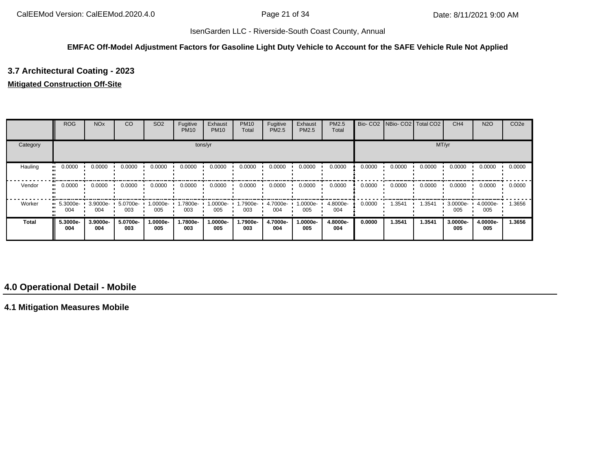#### **EMFAC Off-Model Adjustment Factors for Gasoline Light Duty Vehicle to Account for the SAFE Vehicle Rule Not Applied**

# **3.7 Architectural Coating - 2023**

#### **Mitigated Construction Off-Site**

|              | <b>ROG</b>                     | <b>NO<sub>x</sub></b> | <sub>CO</sub>   | SO <sub>2</sub> | Fugitive<br><b>PM10</b> | Exhaust<br><b>PM10</b> | <b>PM10</b><br>Total | Fugitive<br>PM2.5 | Exhaust<br><b>PM2.5</b> | PM2.5<br>Total  |        | Bio- CO2   NBio- CO2   Total CO2 |        | CH <sub>4</sub> | <b>N2O</b>      | CO <sub>2e</sub> |
|--------------|--------------------------------|-----------------------|-----------------|-----------------|-------------------------|------------------------|----------------------|-------------------|-------------------------|-----------------|--------|----------------------------------|--------|-----------------|-----------------|------------------|
| Category     |                                |                       |                 |                 |                         | tons/yr                |                      |                   |                         |                 |        |                                  |        | MT/yr           |                 |                  |
| Hauling      | 0.0000                         | 0.0000                | 0.0000          | 0.0000          | 0.0000                  | 0.0000                 | 0.0000               | 0.0000            | 0.0000                  | 0.0000          | 0.0000 | 0.0000                           | 0.0000 | 0.0000          | 0.0000          | 0.0000           |
| Vendor       | 0.0000                         | 0.0000                | 0.0000          | 0.0000          | 0.0000                  | 0.0000                 | 0.0000               | 0.0000            | 0.0000                  | 0.0000          | 0.0000 | 0.0000                           | 0.0000 | 0.0000          | 0.0000          | 0.0000           |
| Worker       | $\blacksquare$ 5.3000e-<br>004 | 3.9000e-<br>004       | 5.0700e-<br>003 | 1.0000e-<br>005 | 1.7800e-<br>003         | 1.0000e-<br>005        | .7900e-<br>003       | 4.7000e-<br>004   | 1.0000e-<br>005         | 4.8000e-<br>004 | 0.0000 | 1.3541                           | 1.3541 | 3.0000e-<br>005 | 4.0000e-<br>005 | 1.3656           |
| <b>Total</b> | 5.3000e-<br>004                | 3.9000e-<br>004       | 5.0700e-<br>003 | 1.0000e-<br>005 | 1.7800e-<br>003         | 1.0000e-<br>005        | 1.7900e-<br>003      | 4.7000e-<br>004   | 1.0000e-<br>005         | 4.8000e-<br>004 | 0.0000 | 1.3541                           | 1.3541 | 3.0000e-<br>005 | 4.0000e-<br>005 | 1.3656           |

# **4.0 Operational Detail - Mobile**

**4.1 Mitigation Measures Mobile**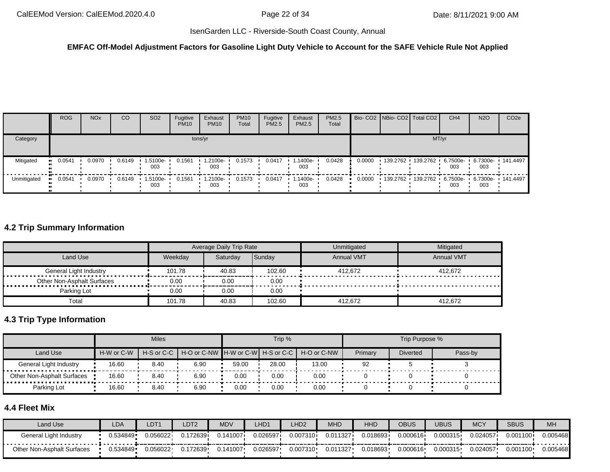#### **EMFAC Off-Model Adjustment Factors for Gasoline Light Duty Vehicle to Account for the SAFE Vehicle Rule Not Applied**

|             | <b>ROG</b> | <b>NO<sub>x</sub></b> | <sub>CO</sub> | SO <sub>2</sub>   | Fugitive<br><b>PM10</b> | Exhaust<br><b>PM10</b> | <b>PM10</b><br>Total | Fugitive<br><b>PM2.5</b> | Exhaust<br>PM2.5 | PM2.5<br>Total |        | Bio- CO2   NBio- CO2   Total CO2           | CH <sub>4</sub> | <b>N2O</b> | CO <sub>2e</sub>  |
|-------------|------------|-----------------------|---------------|-------------------|-------------------------|------------------------|----------------------|--------------------------|------------------|----------------|--------|--------------------------------------------|-----------------|------------|-------------------|
| Category    |            |                       |               |                   |                         | tons/yr                |                      |                          |                  |                |        | MT/yr                                      |                 |            |                   |
| Mitigated   | 0.0541     | 0.0970                | 0.6149        | 1.5100e-<br>003   | 0.1561                  | 1.2100e-<br>003        | 0.1573               | 0.0417                   | 1.1400e-<br>003  | 0.0428         | 0.0000 | 139.2762 139.2762 6.7500e 1                | 003             | 003        | 6.7300e- 141.4497 |
| Unmitigated | 0.0541     | 0.0970                | 0.6149        | 1.5100e- •<br>003 | 0.1561                  | $1.2100e-$<br>003      | 0.1573               | 0.0417                   | 1.1400e-<br>003  | 0.0428         | 0.0000 | 139.2762 139.2762 6.7500e 6.7300e 141.4497 | 003             | 003        |                   |

# **4.2 Trip Summary Information**

|                            |         | <b>Average Daily Trip Rate</b> |               | Unmitigated       | Mitigated         |
|----------------------------|---------|--------------------------------|---------------|-------------------|-------------------|
| Land Use                   | Weekdav | Saturdav                       | <b>Sundav</b> | <b>Annual VMT</b> | <b>Annual VMT</b> |
|                            | 101.78  | 40.83                          | 102.60        | 412.672           | 412.672           |
| Other Non-Asphalt Surfaces | 0.00    | 0.00                           | 0.00          |                   |                   |
| Parking Lot                | 0.00    | 0.00                           | 0.00          |                   |                   |
| Total                      | 101.78  | 40.83                          | 102.60        | 412.672           | 412.672           |

# **4.3 Trip Type Information**

|                            |            | <b>Miles</b>                                       |      |       | Trip %      |         |                 | Trip Purpose % |  |
|----------------------------|------------|----------------------------------------------------|------|-------|-------------|---------|-----------------|----------------|--|
| Land Use                   | H-W or C-W | H-S or C-C   H-O or C-NW   H-W or C-W   H-S or C-C |      |       | H-O or C-NW | Primary | <b>Diverted</b> | Pass-by        |  |
| General Light Industry     | 16.60      | 8.40                                               | 6.90 | 59.00 | 28.00       | 13.00   | 92              |                |  |
| Other Non-Asphalt Surfaces | 16.60      | 8.40                                               | 6.90 | 0.00  | 0.00        | 0.00    |                 |                |  |
| Parking Lot                | 16.60      | 8.40                                               | 6.90 | 0.00  | 0.00        | 0.00    |                 |                |  |

# **4.4 Fleet Mix**

| Land Use                   | <b>LDA</b> | LDT1     | LDT <sub>2</sub> | MDV     | LHD1     | LHD <sub>2</sub> | MHD      | <b>HHD</b> | <b>OBUS</b> | <b>UBUS</b> | <b>MCY</b> | <b>SBUS</b> | MH       |
|----------------------------|------------|----------|------------------|---------|----------|------------------|----------|------------|-------------|-------------|------------|-------------|----------|
| General Light Industry     | 0.534849   | 0.056022 | 0.172639         | 141007. | 0.026597 | 0.007310+        | 0.011327 | 0.018693   | 0.000616    | 0.000315    | 0.024057   | 0.001100    | 0.005468 |
| Other Non-Asphalt Surfaces | 0.534849   | 0.056022 | 0.172639         | .141007 | 0.026597 | 0.007310         | 0.011327 | 0.018693   | 0.000616    | 0.000315    | 0.024057   | 0.001100    | 0.005468 |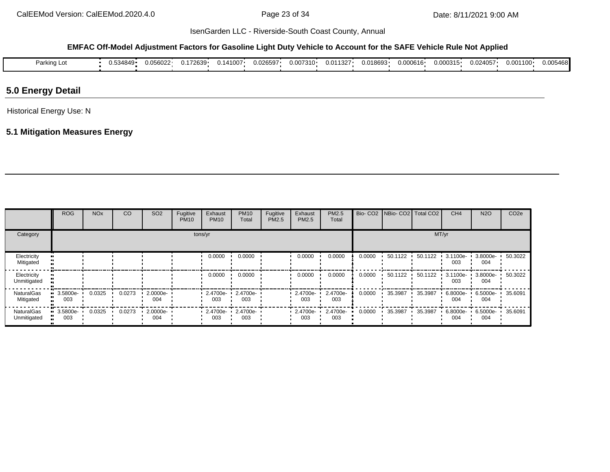#### **EMFAC Off-Model Adjustment Factors for Gasoline Light Duty Vehicle to Account for the SAFE Vehicle Rule Not Applied**

| Parking L. | $4849 -$<br>$\overline{\phantom{a}}$<br>ບ.ບບ | 0.056022 | $.2639 -$<br>$\cdot$ $\cdot$ | 11007 | 0.026597 | 0.007310 | 1327<br>0.01 | .018693<br>U.UT | 0.000616 | 0.000315 | J.024057 | $100 \cdot$<br>0.OC | 05468l<br>0.0C |
|------------|----------------------------------------------|----------|------------------------------|-------|----------|----------|--------------|-----------------|----------|----------|----------|---------------------|----------------|
|            |                                              |          |                              |       |          |          |              |                 |          |          |          |                     |                |

# **5.0 Energy Detail**

Historical Energy Use: N

# **5.1 Mitigation Measures Energy**

|                                  | <b>ROG</b>      | <b>NO<sub>x</sub></b> | CO     | SO <sub>2</sub> | Fugitive<br><b>PM10</b> | Exhaust<br><b>PM10</b> | <b>PM10</b><br>Total | Fugitive<br><b>PM2.5</b> | Exhaust<br>PM2.5 | PM2.5<br>Total  |        | Bio- CO2   NBio- CO2   Total CO2 |         | CH <sub>4</sub>    | <b>N2O</b>      | CO <sub>2e</sub> |
|----------------------------------|-----------------|-----------------------|--------|-----------------|-------------------------|------------------------|----------------------|--------------------------|------------------|-----------------|--------|----------------------------------|---------|--------------------|-----------------|------------------|
| Category                         | tons/yr         |                       |        |                 |                         |                        |                      |                          |                  |                 | MT/yr  |                                  |         |                    |                 |                  |
| Electricity<br>Mitigated         |                 |                       |        |                 |                         | 0.0000                 | 0.0000               |                          | 0.0000           | 0.0000          | 0.0000 | 50.1122                          | 50.1122 | 3.1100e-<br>003    | 3.8000e-<br>004 | 50.3022          |
| Electricity<br>Unmitigated       |                 |                       |        |                 |                         | 0.0000                 | 0.0000               |                          | 0.0000           | 0.0000          | 0.0000 | 50.1122                          | 50.1122 | $3.1100e -$<br>003 | 3.8000e-<br>004 | 50.3022          |
| <b>NaturalGas</b><br>Mitigated   | 3.5800e-<br>003 | 0.0325                | 0.0273 | 2.0000e-<br>004 |                         | $2.4700e -$<br>003     | 2.4700e-<br>003      |                          | 2.4700e-<br>003  | 2.4700e-<br>003 | 0.0000 | 35.3987                          | 35.3987 | 6.8000e-<br>004    | 6.5000e-<br>004 | 35.6091          |
| <b>NaturalGas</b><br>Unmitigated | 3.5800e-<br>003 | 0.0325                | 0.0273 | 2.0000e-<br>004 |                         | 2.4700e-<br>003        | 2.4700e-<br>003      |                          | 2.4700e-<br>003  | 2.4700e-<br>003 | 0.0000 | 35.3987                          | 35.3987 | 6.8000e-<br>004    | 6.5000e-<br>004 | 35.6091          |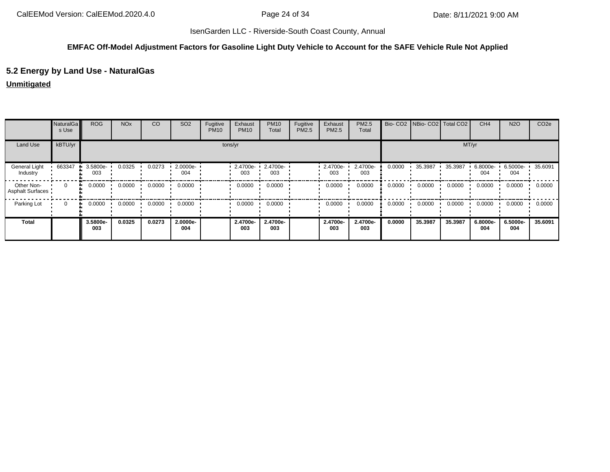#### **EMFAC Off-Model Adjustment Factors for Gasoline Light Duty Vehicle to Account for the SAFE Vehicle Rule Not Applied**

# **5.2 Energy by Land Use - NaturalGas**

#### **Unmitigated**

|                                       | <b>NaturalGa</b><br>s Use | <b>ROG</b>      | <b>NO<sub>x</sub></b> | CO     | SO <sub>2</sub> | Fugitive<br><b>PM10</b> | Exhaust<br><b>PM10</b> | <b>PM10</b><br>Total | Fugitive<br>PM2.5 | Exhaust<br><b>PM2.5</b> | PM2.5<br>Total  |        | Bio- CO2   NBio- CO2   Total CO2 |         | CH <sub>4</sub> | <b>N2O</b>      | CO <sub>2e</sub> |
|---------------------------------------|---------------------------|-----------------|-----------------------|--------|-----------------|-------------------------|------------------------|----------------------|-------------------|-------------------------|-----------------|--------|----------------------------------|---------|-----------------|-----------------|------------------|
| Land Use                              | kBTU/yr                   |                 | tons/yr               |        |                 |                         |                        |                      |                   |                         |                 |        |                                  | MT/yr   |                 |                 |                  |
| General Light<br>Industry             | 663347                    | 3.5800e-<br>003 | 0.0325                | 0.0273 | 2.0000e-<br>004 |                         | $-2.4700e-$<br>003     | 2.4700e-<br>003      |                   | 2.4700e-<br>003         | 2.4700e-<br>003 | 0.0000 | 35.3987                          | 35.3987 | 6.8000e-<br>004 | 6.5000e-<br>004 | 35.6091          |
| Other Non-<br><b>Asphalt Surfaces</b> | $\Omega$                  | 0.0000<br>      | 0.0000                | 0.0000 | 0.0000          |                         | 0.0000                 | 0.0000               |                   | 0.0000                  | 0.0000          | 0.0000 | 0.0000                           | 0.0000  | 0.0000          | 0.0000          | 0.0000           |
| Parking Lot                           | $\mathbf{0}$              | 0.0000<br>ш.    | 0.0000                | 0.0000 | 0.0000          |                         | 0.0000                 | 0.0000               |                   | 0.0000                  | 0.0000          | 0.0000 | 0.0000                           | 0.0000  | 0.0000          | 0.0000          | 0.0000           |
| <b>Total</b>                          |                           | 3.5800e-<br>003 | 0.0325                | 0.0273 | 2.0000e-<br>004 |                         | 2.4700e-<br>003        | 2.4700e-<br>003      |                   | 2.4700e-<br>003         | 2.4700e-<br>003 | 0.0000 | 35.3987                          | 35.3987 | 6.8000e-<br>004 | 6.5000e-<br>004 | 35.6091          |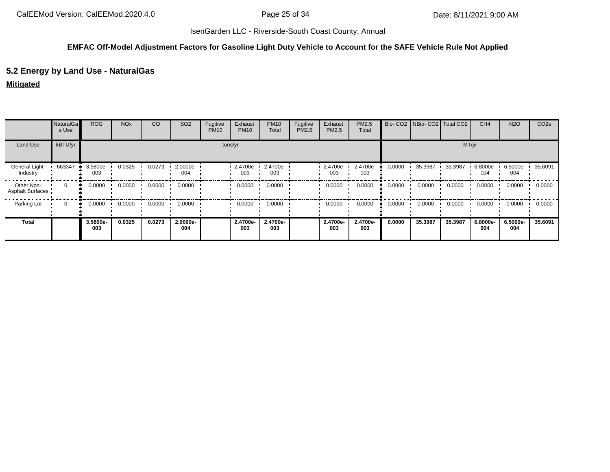#### **EMFAC Off-Model Adjustment Factors for Gasoline Light Duty Vehicle to Account for the SAFE Vehicle Rule Not Applied**

# **5.2 Energy by Land Use - NaturalGas**

### **Mitigated**

|                                       | NaturalGa<br>s Use | <b>ROG</b>      | <b>NO<sub>x</sub></b> | CO     | SO <sub>2</sub> | Fugitive<br><b>PM10</b> | Exhaust<br><b>PM10</b>     | <b>PM10</b><br>Total | Fugitive<br><b>PM2.5</b> | Exhaust<br>PM2.5 | PM2.5<br>Total  |        | Bio- CO2   NBio- CO2   Total CO2 |         | CH <sub>4</sub> | <b>N2O</b>              | CO <sub>2e</sub> |
|---------------------------------------|--------------------|-----------------|-----------------------|--------|-----------------|-------------------------|----------------------------|----------------------|--------------------------|------------------|-----------------|--------|----------------------------------|---------|-----------------|-------------------------|------------------|
| Land Use                              | kBTU/yr            |                 | tons/yr               |        |                 |                         |                            |                      |                          |                  |                 |        | MT/yr                            |         |                 |                         |                  |
| General Light<br>Industry             | 663347             | 3.5800e-<br>003 | 0.0325                | 0.0273 | 2.0000e-<br>004 |                         | $2.4700e - 2.4700e$<br>003 | 003                  |                          | 2.4700e-<br>003  | 2.4700e-<br>003 | 0.0000 | 35.3987                          | 35.3987 | 6.8000e-<br>004 | 6.5000e- 35.6091<br>004 |                  |
| Other Non-<br><b>Asphalt Surfaces</b> | $\Omega$           | 0.0000<br>      | 0.0000                | 0.0000 | 0.0000          |                         | 0.0000                     | 0.0000               |                          | 0.0000           | 0.0000          | 0.0000 | 0.0000                           | 0.0000  | 0.0000          | 0.0000                  | 0.0000           |
| Parking Lot                           | $\Omega$           | 0.0000<br>ш.    | 0.0000                | 0.0000 | 0.0000          |                         | 0.0000                     | 0.0000               |                          | 0.0000           | 0.0000          | 0.0000 | 0.0000                           | 0.0000  | 0.0000          | 0.0000                  | 0.0000           |
| <b>Total</b>                          |                    | 3.5800e-<br>003 | 0.0325                | 0.0273 | 2.0000e-<br>004 |                         | 2.4700e-<br>003            | 2.4700e-<br>003      |                          | 2.4700e-<br>003  | 2.4700e-<br>003 | 0.0000 | 35.3987                          | 35.3987 | 6.8000e-<br>004 | 6.5000e-<br>004         | 35.6091          |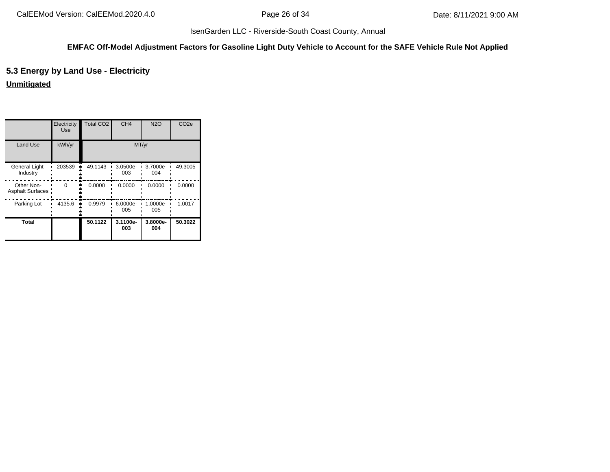# **EMFAC Off-Model Adjustment Factors for Gasoline Light Duty Vehicle to Account for the SAFE Vehicle Rule Not Applied**

# **5.3 Energy by Land Use - Electricity**

**Unmitigated**

|                                       | Electricity<br><b>Use</b> | Total CO <sub>2</sub> | CH <sub>4</sub> | <b>N2O</b>      | CO <sub>2e</sub> |
|---------------------------------------|---------------------------|-----------------------|-----------------|-----------------|------------------|
| Land Use                              | kWh/yr                    |                       | MT/yr           |                 |                  |
| <b>General Light</b><br>Industry      | 203539                    | 49.1143               | 3.0500e-<br>003 | 3.7000e-<br>004 | 49.3005          |
| Other Non-<br><b>Asphalt Surfaces</b> | U                         | 0.0000                | 0.0000          | 0.0000          | 0.0000           |
| Parking Lot                           | 4135.6                    | 0.9979                | 6.0000e-<br>005 | 1.0000e-<br>005 | 1.0017           |
| <b>Total</b>                          |                           | 50.1122               | 3.1100e-<br>003 | 3.8000e-<br>004 | 50.3022          |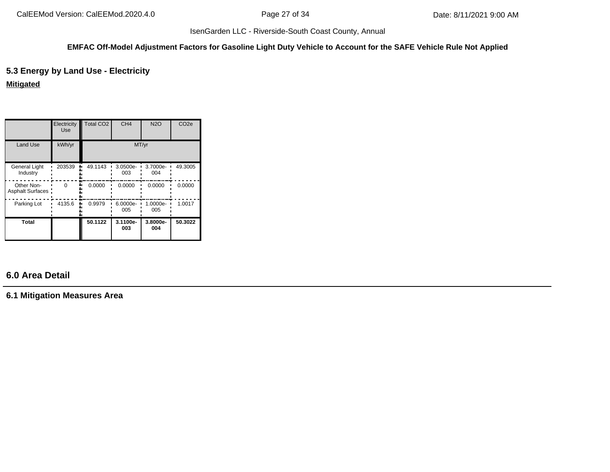#### **EMFAC Off-Model Adjustment Factors for Gasoline Light Duty Vehicle to Account for the SAFE Vehicle Rule Not Applied**

# **5.3 Energy by Land Use - Electricity**

## **Mitigated**

|                                       | Electricity<br>Use | <b>Total CO2</b> | CH <sub>4</sub> | <b>N2O</b>      | CO <sub>2e</sub> |
|---------------------------------------|--------------------|------------------|-----------------|-----------------|------------------|
| <b>Land Use</b>                       | kWh/yr             |                  | MT/yr           |                 |                  |
| General Light<br>Industry             | 203539             | 49.1143          | 3.0500e-<br>003 | 3.7000e-<br>004 | 49.3005          |
| Other Non-<br><b>Asphalt Surfaces</b> | $\Omega$           | 0.0000           | 0.0000          | 0.0000          | 0.0000           |
| Parking Lot                           | 4135.6             | 0.9979           | 6.0000e-<br>005 | 1.0000e-<br>005 | 1.0017           |
| Total                                 |                    | 50.1122          | 3.1100e-<br>003 | 3.8000e-<br>004 | 50.3022          |

# **6.0 Area Detail**

**6.1 Mitigation Measures Area**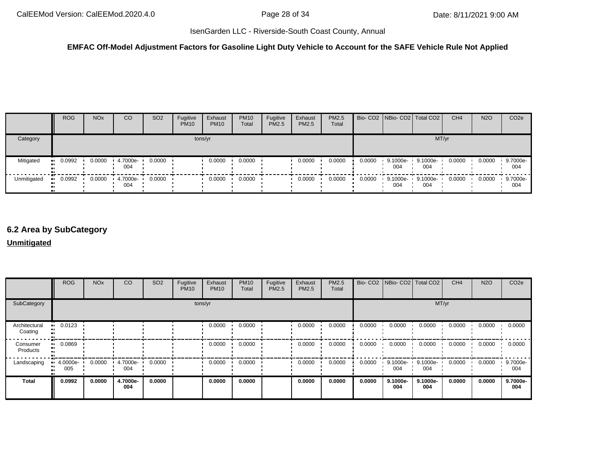#### **EMFAC Off-Model Adjustment Factors for Gasoline Light Duty Vehicle to Account for the SAFE Vehicle Rule Not Applied**

|             | <b>ROG</b> | <b>NO<sub>x</sub></b> | CO              | SO <sub>2</sub> | Fugitive<br><b>PM10</b> | Exhaust<br><b>PM10</b> | <b>PM10</b><br>Total | Fugitive<br><b>PM2.5</b> | Exhaust<br><b>PM2.5</b> | <b>PM2.5</b><br>Total |        | Bio- CO2 NBio- CO2 Total CO2 |                 | CH <sub>4</sub> | <b>N2O</b> | CO <sub>2e</sub> |
|-------------|------------|-----------------------|-----------------|-----------------|-------------------------|------------------------|----------------------|--------------------------|-------------------------|-----------------------|--------|------------------------------|-----------------|-----------------|------------|------------------|
| Category    | tons/yr    |                       |                 |                 |                         |                        |                      |                          |                         |                       |        |                              | MT/yr           |                 |            |                  |
| Mitigated   | $-0.0992$  | 0.0000                | 4.7000e-<br>004 | 0.0000          |                         | 0.0000                 | 0.0000               |                          | 0.0000                  | 0.0000                | 0.0000 | 9.1000e-<br>004              | 9.1000e-<br>004 | 0.0000          | 0.0000     | 9.7000e-<br>004  |
| Unmitigated | $-0.0992$  | 0.0000                | 4.7000e-<br>004 | 0.0000          |                         | 0.0000                 | 0.0000               |                          | 0.0000                  | 0.0000                | 0.0000 | 9.1000e-<br>004              | 9.1000e-<br>004 | 0.0000          | 0.0000     | 9.7000e-<br>004  |

# **6.2 Area by SubCategory**

#### **Unmitigated**

|                          | <b>ROG</b>         | <b>NO<sub>x</sub></b> | CO              | SO <sub>2</sub> | Fugitive<br><b>PM10</b> | Exhaust<br><b>PM10</b> | <b>PM10</b><br>Total | Fugitive<br>PM2.5 | Exhaust<br>PM2.5 | PM2.5<br>Total |        | Bio- CO2   NBio- CO2   Total CO2 |                 | CH <sub>4</sub> | <b>N2O</b> | CO <sub>2</sub> e |
|--------------------------|--------------------|-----------------------|-----------------|-----------------|-------------------------|------------------------|----------------------|-------------------|------------------|----------------|--------|----------------------------------|-----------------|-----------------|------------|-------------------|
| SubCategory              |                    | tons/yr               |                 |                 |                         |                        |                      |                   |                  |                |        |                                  | MT/yr           |                 |            |                   |
| Architectural<br>Coating | 0.0123             |                       |                 |                 |                         | 0.0000                 | 0.0000               |                   | 0.0000           | 0.0000         | 0.0000 | 0.0000                           | 0.0000          | 0.0000          | 0.0000     | 0.0000            |
| Consumer<br>Products     | 0.0869<br>         |                       |                 |                 |                         | 0.0000                 | 0.0000               |                   | 0.0000           | 0.0000         | 0.0000 | 0.0000                           | 0.0000          | 0.0000          | 0.0000     | 0.0000            |
| Landscaping              | $-4.0000e-$<br>005 | 0.0000                | 4.7000e-<br>004 | 0.0000          |                         | 0.0000                 | 0.0000               |                   | 0.0000           | 0.0000         | 0.0000 | $9.1000e -$<br>004               | 9.1000e-<br>004 | 0.0000          | 0.0000     | 9.7000e-<br>004   |
| <b>Total</b>             | 0.0992             | 0.0000                | 4.7000e-<br>004 | 0.0000          |                         | 0.0000                 | 0.0000               |                   | 0.0000           | 0.0000         | 0.0000 | 9.1000e-<br>004                  | 9.1000e-<br>004 | 0.0000          | 0.0000     | 9.7000e-<br>004   |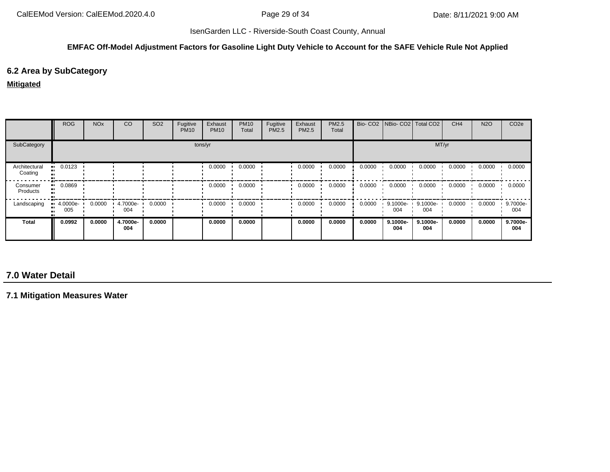#### **EMFAC Off-Model Adjustment Factors for Gasoline Light Duty Vehicle to Account for the SAFE Vehicle Rule Not Applied**

# **6.2 Area by SubCategory**

#### **Mitigated**

|                          | <b>ROG</b>                     | <b>NO<sub>x</sub></b> | <b>CO</b>       | SO <sub>2</sub> | Fugitive<br><b>PM10</b> | Exhaust<br><b>PM10</b> | <b>PM10</b><br>Total | Fugitive<br>PM2.5 | Exhaust<br><b>PM2.5</b> | PM2.5<br>Total |        |                 | Bio- CO2   NBio- CO2   Total CO2 | CH <sub>4</sub> | <b>N2O</b> | CO <sub>2e</sub> |
|--------------------------|--------------------------------|-----------------------|-----------------|-----------------|-------------------------|------------------------|----------------------|-------------------|-------------------------|----------------|--------|-----------------|----------------------------------|-----------------|------------|------------------|
| SubCategory              | tons/yr                        |                       |                 |                 |                         |                        |                      |                   |                         |                |        |                 | MT/yr                            |                 |            |                  |
| Architectural<br>Coating | 0.0123                         |                       |                 |                 |                         | 0.0000                 | 0.0000               |                   | 0.0000                  | 0.0000         | 0.0000 | 0.0000          | 0.0000                           | 0.0000          | 0.0000     | 0.0000           |
| Consumer<br>Products     | 0.0869                         |                       |                 |                 |                         | 0.0000                 | 0.0000               |                   | 0.0000                  | 0.0000         | 0.0000 | 0.0000          | 0.0000                           | 0.0000          | 0.0000     | 0.0000           |
| Landscaping              | $\blacksquare$ 4.0000e-<br>005 | 0.0000                | 4.7000e-<br>004 | 0.0000          |                         | 0.0000                 | 0.0000               |                   | 0.0000                  | 0.0000         | 0.0000 | 9.1000e-<br>004 | 9.1000e-<br>004                  | 0.0000          | 0.0000     | 9.7000e-<br>004  |
| <b>Total</b>             | 0.0992                         | 0.0000                | 4.7000e-<br>004 | 0.0000          |                         | 0.0000                 | 0.0000               |                   | 0.0000                  | 0.0000         | 0.0000 | 9.1000e-<br>004 | 9.1000e-<br>004                  | 0.0000          | 0.0000     | 9.7000e-<br>004  |

# **7.0 Water Detail**

**7.1 Mitigation Measures Water**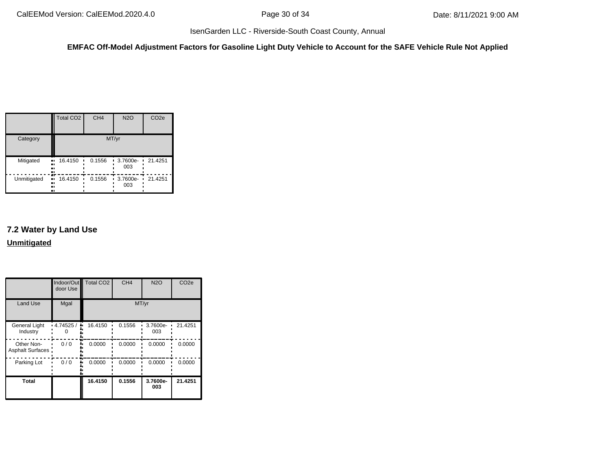**EMFAC Off-Model Adjustment Factors for Gasoline Light Duty Vehicle to Account for the SAFE Vehicle Rule Not Applied**

|                          | <b>Total CO2</b>  | CH <sub>4</sub> | <b>N2O</b>         | CO <sub>2e</sub> |  |  |  |  |
|--------------------------|-------------------|-----------------|--------------------|------------------|--|--|--|--|
| Category                 | MT/yr             |                 |                    |                  |  |  |  |  |
| Mitigated<br>ш<br><br>81 | 16.4150<br>ш      | 0.1556          | 3.7600e-<br>003    | 21.4251<br>٠     |  |  |  |  |
| Unmitigated<br><br><br>ш | æ<br>16.4150<br>ш | 0.1556          | $-3.7600e-$<br>003 | 21.4251          |  |  |  |  |

# **7.2 Water by Land Use Unmitigated**

|                                  | door Use    | Indoor/Out Total CO2 | CH <sub>4</sub> | <b>N2O</b>      | CO <sub>2e</sub> |
|----------------------------------|-------------|----------------------|-----------------|-----------------|------------------|
| Land Use                         | Mgal        |                      |                 | MT/yr           |                  |
| <b>General Light</b><br>Industry | $-4.74525/$ | 16.4150<br>۰.        | 0.1556          | 3.7600e-<br>003 | 21.4251          |
| Other Non-<br>Asphalt Surfaces   | 0/0         | 0.0000               | 0.0000          | 0.0000          | 0.0000           |
| Parking Lot                      | 0/0         | 0.0000               | 0.0000          | 0.0000          | 0.0000           |
| <b>Total</b>                     |             | 16.4150              | 0.1556          | 3.7600e-<br>003 | 21.4251          |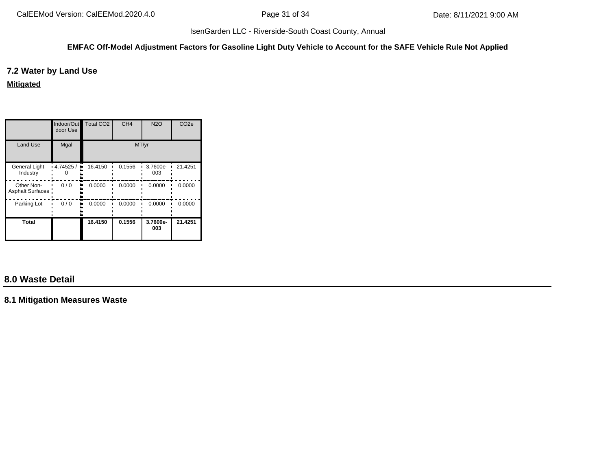#### **EMFAC Off-Model Adjustment Factors for Gasoline Light Duty Vehicle to Account for the SAFE Vehicle Rule Not Applied**

## **7.2 Water by Land Use**

**Mitigated**

|                                       | door Use       | Indoor/Out Total CO2 | CH <sub>4</sub> | <b>N2O</b>      | CO <sub>2e</sub> |
|---------------------------------------|----------------|----------------------|-----------------|-----------------|------------------|
| <b>Land Use</b>                       | Mgal           |                      |                 | MT/yr           |                  |
| <b>General Light</b><br>Industry      | 4.74525/<br>۰. | 16.4150              | 0.1556          | 3.7600e-<br>003 | 21.4251          |
| Other Non-<br><b>Asphalt Surfaces</b> | 0/0            | 0.0000               | 0.0000          | 0.0000          | 0.0000           |
| Parking Lot                           | 0/0            | 0.0000               | 0.0000          | 0.0000          | 0.0000           |
| Total                                 |                | 16.4150              | 0.1556          | 3.7600e-<br>003 | 21.4251          |

# **8.0 Waste Detail**

**8.1 Mitigation Measures Waste**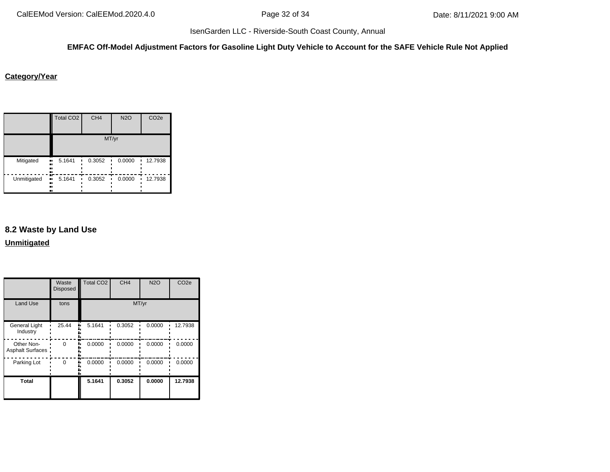## **EMFAC Off-Model Adjustment Factors for Gasoline Light Duty Vehicle to Account for the SAFE Vehicle Rule Not Applied**

#### **Category/Year**

|             | <b>Total CO2</b>                       | CH <sub>4</sub> | <b>N2O</b> | CO <sub>2e</sub> |
|-------------|----------------------------------------|-----------------|------------|------------------|
|             |                                        |                 | MT/yr      |                  |
| Mitigated   | 5.1641<br>$\blacksquare$<br><br><br>., | 0.3052          | 0.0000     | 12.7938          |
| Unmitigated | 5.1641<br>ш,<br><br><br>ш              | 0.3052          | 0.0000     | 12.7938          |

# **8.2 Waste by Land Use**

**Unmitigated**

|                                 | Waste<br><b>Disposed</b> | <b>Total CO2</b> | CH <sub>4</sub> | <b>N2O</b> | CO <sub>2e</sub> |
|---------------------------------|--------------------------|------------------|-----------------|------------|------------------|
| <b>Land Use</b>                 | tons                     |                  | MT/yr           |            |                  |
| General Light<br>Industry       | 25.44                    | 5.1641<br>۰.     | 0.3052          | 0.0000     | 12.7938          |
| Other Non-<br>Asphalt Surfaces: | $\Omega$                 | 0.0000           | 0.0000          | 0.0000     | 0.0000           |
| Parking Lot                     | $\Omega$                 | 0.0000           | 0.0000          | 0.0000     | 0.0000           |
| <b>Total</b>                    |                          | 5.1641           | 0.3052          | 0.0000     | 12.7938          |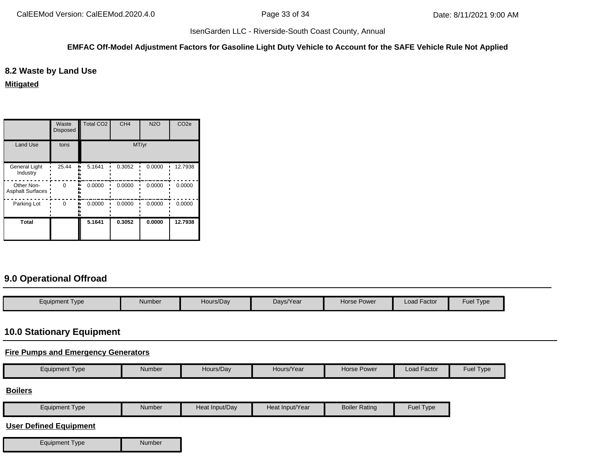#### **EMFAC Off-Model Adjustment Factors for Gasoline Light Duty Vehicle to Account for the SAFE Vehicle Rule Not Applied**

# **8.2 Waste by Land Use**

**Mitigated**

|                                  | Waste<br><b>Disposed</b> | Total CO <sub>2</sub> | CH <sub>4</sub> | N2O    | CO <sub>2e</sub> |
|----------------------------------|--------------------------|-----------------------|-----------------|--------|------------------|
| <b>Land Use</b>                  | tons                     | MT/yr                 |                 |        |                  |
| <b>General Light</b><br>Industry | 25.44                    | 5.1641                | 0.3052          | 0.0000 | 12.7938          |
| Other Non-<br>Asphalt Surfaces:  | $\Omega$                 | 0.0000                | 0.0000          | 0.0000 | 0.0000           |
| Parking Lot                      | $\Omega$                 | 0.0000                | 0.0000          | 0.0000 | 0.0000           |
| <b>Total</b>                     |                          | 5.1641                | 0.3052          | 0.0000 | 12.7938          |

# **9.0 Operational Offroad**

| Equipment Type | Number | Hours/Day | Days/Year | Horse Power | Load Factor | Fuel Type |
|----------------|--------|-----------|-----------|-------------|-------------|-----------|

# **10.0 Stationary Equipment**

# **Fire Pumps and Emergency Generators**

|  | <b>Equipment Type</b> | Number | Hours/Dav | Hours/Year | <b>Horse Power</b> | --<br>Load Factor | <b>Fuel Type</b> |
|--|-----------------------|--------|-----------|------------|--------------------|-------------------|------------------|
|--|-----------------------|--------|-----------|------------|--------------------|-------------------|------------------|

#### **Boilers**

| $-$<br>Equipment Type | Number | Heat Input/Dav | Heat Input/Year | <b>Boiler Rating</b> | Fue<br>l ype |
|-----------------------|--------|----------------|-----------------|----------------------|--------------|

# **User Defined Equipment**

| Equipment Type | Number |
|----------------|--------|
|----------------|--------|